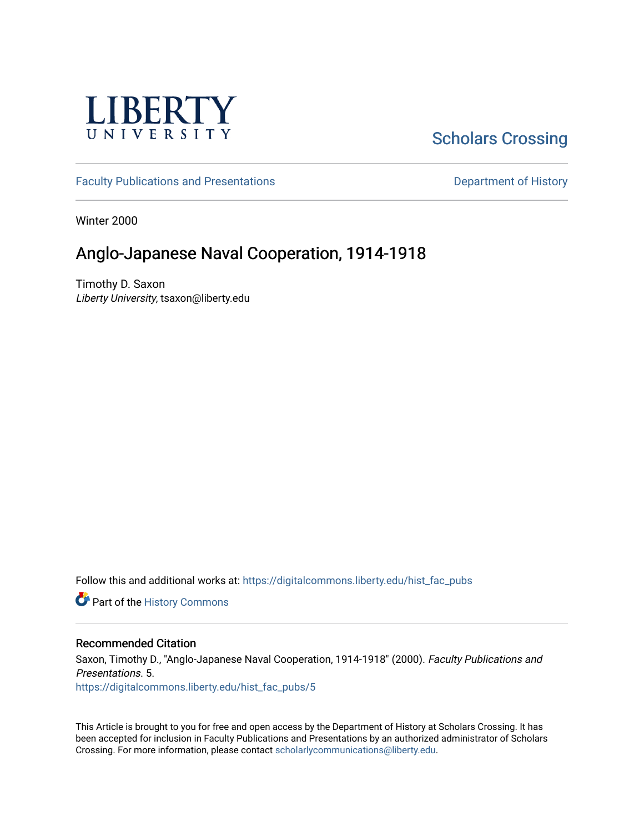

# **Scholars Crossing**

[Faculty Publications and Presentations](https://digitalcommons.liberty.edu/hist_fac_pubs) **Department of History** Department of History

Winter 2000

# Anglo-Japanese Naval Cooperation, 1914-1918

Timothy D. Saxon Liberty University, tsaxon@liberty.edu

Follow this and additional works at: [https://digitalcommons.liberty.edu/hist\\_fac\\_pubs](https://digitalcommons.liberty.edu/hist_fac_pubs?utm_source=digitalcommons.liberty.edu%2Fhist_fac_pubs%2F5&utm_medium=PDF&utm_campaign=PDFCoverPages)

Part of the [History Commons](http://network.bepress.com/hgg/discipline/489?utm_source=digitalcommons.liberty.edu%2Fhist_fac_pubs%2F5&utm_medium=PDF&utm_campaign=PDFCoverPages) 

#### Recommended Citation

Saxon, Timothy D., "Anglo-Japanese Naval Cooperation, 1914-1918" (2000). Faculty Publications and Presentations. 5. [https://digitalcommons.liberty.edu/hist\\_fac\\_pubs/5](https://digitalcommons.liberty.edu/hist_fac_pubs/5?utm_source=digitalcommons.liberty.edu%2Fhist_fac_pubs%2F5&utm_medium=PDF&utm_campaign=PDFCoverPages)

This Article is brought to you for free and open access by the Department of History at Scholars Crossing. It has been accepted for inclusion in Faculty Publications and Presentations by an authorized administrator of Scholars Crossing. For more information, please contact [scholarlycommunications@liberty.edu](mailto:scholarlycommunications@liberty.edu).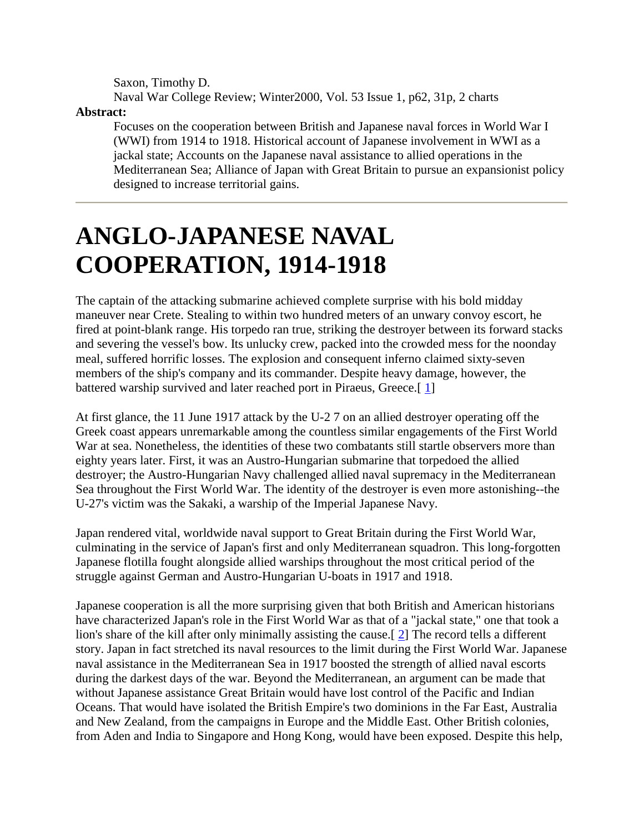Saxon, Timothy D. Naval War College Review; Winter2000, Vol. 53 Issue 1, p62, 31p, 2 charts

**Abstract:**

Focuses on the cooperation between British and Japanese naval forces in World War I (WWI) from 1914 to 1918. Historical account of Japanese involvement in WWI as a jackal state; Accounts on the Japanese naval assistance to allied operations in the Mediterranean Sea; Alliance of Japan with Great Britain to pursue an expansionist policy designed to increase territorial gains.

# **ANGLO-JAPANESE NAVAL COOPERATION, 1914-1918**

The captain of the attacking submarine achieved complete surprise with his bold midday maneuver near Crete. Stealing to within two hundred meters of an unwary convoy escort, he fired at point-blank range. His torpedo ran true, striking the destroyer between its forward stacks and severing the vessel's bow. Its unlucky crew, packed into the crowded mess for the noonday meal, suffered horrific losses. The explosion and consequent inferno claimed sixty-seven members of the ship's company and its commander. Despite heavy damage, however, the battered warship survived and later reached port in Piraeus, Greece.[1]

At first glance, the 11 June 1917 attack by the U-2 7 on an allied destroyer operating off the Greek coast appears unremarkable among the countless similar engagements of the First World War at sea. Nonetheless, the identities of these two combatants still startle observers more than eighty years later. First, it was an Austro-Hungarian submarine that torpedoed the allied destroyer; the Austro-Hungarian Navy challenged allied naval supremacy in the Mediterranean Sea throughout the First World War. The identity of the destroyer is even more astonishing--the U-27's victim was the Sakaki, a warship of the Imperial Japanese Navy.

Japan rendered vital, worldwide naval support to Great Britain during the First World War, culminating in the service of Japan's first and only Mediterranean squadron. This long-forgotten Japanese flotilla fought alongside allied warships throughout the most critical period of the struggle against German and Austro-Hungarian U-boats in 1917 and 1918.

Japanese cooperation is all the more surprising given that both British and American historians have characterized Japan's role in the First World War as that of a "jackal state," one that took a lion's share of the kill after only minimally assisting the cause.[ [2\]](http://web.ebscohost.com/ehost/delivery?vid=5&hid=9&sid=020941e6-c148-4c15-a8af-fde9609c5d1c%40sessionmgr10#bib2) The record tells a different story. Japan in fact stretched its naval resources to the limit during the First World War. Japanese naval assistance in the Mediterranean Sea in 1917 boosted the strength of allied naval escorts during the darkest days of the war. Beyond the Mediterranean, an argument can be made that without Japanese assistance Great Britain would have lost control of the Pacific and Indian Oceans. That would have isolated the British Empire's two dominions in the Far East, Australia and New Zealand, from the campaigns in Europe and the Middle East. Other British colonies, from Aden and India to Singapore and Hong Kong, would have been exposed. Despite this help,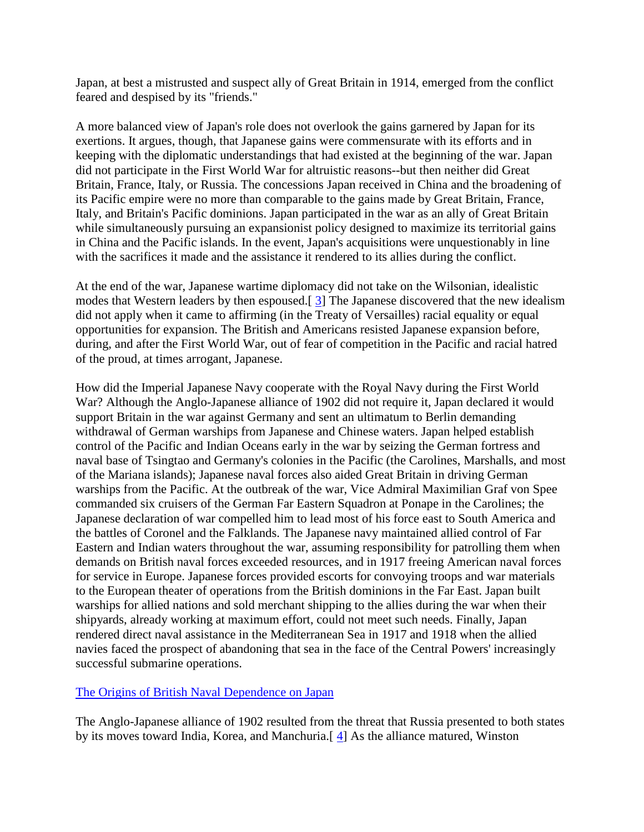Japan, at best a mistrusted and suspect ally of Great Britain in 1914, emerged from the conflict feared and despised by its "friends."

A more balanced view of Japan's role does not overlook the gains garnered by Japan for its exertions. It argues, though, that Japanese gains were commensurate with its efforts and in keeping with the diplomatic understandings that had existed at the beginning of the war. Japan did not participate in the First World War for altruistic reasons--but then neither did Great Britain, France, Italy, or Russia. The concessions Japan received in China and the broadening of its Pacific empire were no more than comparable to the gains made by Great Britain, France, Italy, and Britain's Pacific dominions. Japan participated in the war as an ally of Great Britain while simultaneously pursuing an expansionist policy designed to maximize its territorial gains in China and the Pacific islands. In the event, Japan's acquisitions were unquestionably in line with the sacrifices it made and the assistance it rendered to its allies during the conflict.

At the end of the war, Japanese wartime diplomacy did not take on the Wilsonian, idealistic modes that Western leaders by then espoused.[ [3\]](http://web.ebscohost.com/ehost/delivery?vid=5&hid=9&sid=020941e6-c148-4c15-a8af-fde9609c5d1c%40sessionmgr10#bib3) The Japanese discovered that the new idealism did not apply when it came to affirming (in the Treaty of Versailles) racial equality or equal opportunities for expansion. The British and Americans resisted Japanese expansion before, during, and after the First World War, out of fear of competition in the Pacific and racial hatred of the proud, at times arrogant, Japanese.

How did the Imperial Japanese Navy cooperate with the Royal Navy during the First World War? Although the Anglo-Japanese alliance of 1902 did not require it, Japan declared it would support Britain in the war against Germany and sent an ultimatum to Berlin demanding withdrawal of German warships from Japanese and Chinese waters. Japan helped establish control of the Pacific and Indian Oceans early in the war by seizing the German fortress and naval base of Tsingtao and Germany's colonies in the Pacific (the Carolines, Marshalls, and most of the Mariana islands); Japanese naval forces also aided Great Britain in driving German warships from the Pacific. At the outbreak of the war, Vice Admiral Maximilian Graf von Spee commanded six cruisers of the German Far Eastern Squadron at Ponape in the Carolines; the Japanese declaration of war compelled him to lead most of his force east to South America and the battles of Coronel and the Falklands. The Japanese navy maintained allied control of Far Eastern and Indian waters throughout the war, assuming responsibility for patrolling them when demands on British naval forces exceeded resources, and in 1917 freeing American naval forces for service in Europe. Japanese forces provided escorts for convoying troops and war materials to the European theater of operations from the British dominions in the Far East. Japan built warships for allied nations and sold merchant shipping to the allies during the war when their shipyards, already working at maximum effort, could not meet such needs. Finally, Japan rendered direct naval assistance in the Mediterranean Sea in 1917 and 1918 when the allied navies faced the prospect of abandoning that sea in the face of the Central Powers' increasingly successful submarine operations.

#### [The Origins of British Naval Dependence on](http://web.ebscohost.com/ehost/delivery?vid=5&hid=9&sid=020941e6-c148-4c15-a8af-fde9609c5d1c%40sessionmgr10#toc) Japan

The Anglo-Japanese alliance of 1902 resulted from the threat that Russia presented to both states by its moves toward India, Korea, and Manchuria.[ [4\]](http://web.ebscohost.com/ehost/delivery?vid=5&hid=9&sid=020941e6-c148-4c15-a8af-fde9609c5d1c%40sessionmgr10#bib4) As the alliance matured, Winston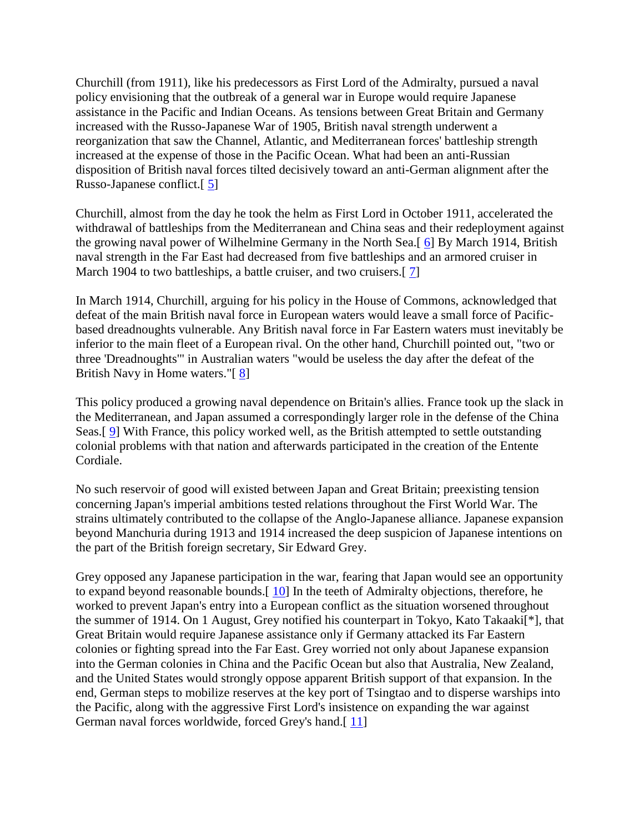Churchill (from 1911), like his predecessors as First Lord of the Admiralty, pursued a naval policy envisioning that the outbreak of a general war in Europe would require Japanese assistance in the Pacific and Indian Oceans. As tensions between Great Britain and Germany increased with the Russo-Japanese War of 1905, British naval strength underwent a reorganization that saw the Channel, Atlantic, and Mediterranean forces' battleship strength increased at the expense of those in the Pacific Ocean. What had been an anti-Russian disposition of British naval forces tilted decisively toward an anti-German alignment after the Russo-Japanese conflict.[ [5\]](http://web.ebscohost.com/ehost/delivery?vid=5&hid=9&sid=020941e6-c148-4c15-a8af-fde9609c5d1c%40sessionmgr10#bib5)

Churchill, almost from the day he took the helm as First Lord in October 1911, accelerated the withdrawal of battleships from the Mediterranean and China seas and their redeployment against the growing naval power of Wilhelmine Germany in the North Sea.[ [6\]](http://web.ebscohost.com/ehost/delivery?vid=5&hid=9&sid=020941e6-c148-4c15-a8af-fde9609c5d1c%40sessionmgr10#bib6) By March 1914, British naval strength in the Far East had decreased from five battleships and an armored cruiser in March 1904 to two battleships, a battle cruiser, and two cruisers.[7]

In March 1914, Churchill, arguing for his policy in the House of Commons, acknowledged that defeat of the main British naval force in European waters would leave a small force of Pacificbased dreadnoughts vulnerable. Any British naval force in Far Eastern waters must inevitably be inferior to the main fleet of a European rival. On the other hand, Churchill pointed out, "two or three 'Dreadnoughts'" in Australian waters "would be useless the day after the defeat of the British Navy in Home waters."[ [8\]](http://web.ebscohost.com/ehost/delivery?vid=5&hid=9&sid=020941e6-c148-4c15-a8af-fde9609c5d1c%40sessionmgr10#bib8)

This policy produced a growing naval dependence on Britain's allies. France took up the slack in the Mediterranean, and Japan assumed a correspondingly larger role in the defense of the China Seas.[ [9\]](http://web.ebscohost.com/ehost/delivery?vid=5&hid=9&sid=020941e6-c148-4c15-a8af-fde9609c5d1c%40sessionmgr10#bib9) With France, this policy worked well, as the British attempted to settle outstanding colonial problems with that nation and afterwards participated in the creation of the Entente Cordiale.

No such reservoir of good will existed between Japan and Great Britain; preexisting tension concerning Japan's imperial ambitions tested relations throughout the First World War. The strains ultimately contributed to the collapse of the Anglo-Japanese alliance. Japanese expansion beyond Manchuria during 1913 and 1914 increased the deep suspicion of Japanese intentions on the part of the British foreign secretary, Sir Edward Grey.

Grey opposed any Japanese participation in the war, fearing that Japan would see an opportunity to expand beyond reasonable bounds.[ [10\]](http://web.ebscohost.com/ehost/delivery?vid=5&hid=9&sid=020941e6-c148-4c15-a8af-fde9609c5d1c%40sessionmgr10#bib10) In the teeth of Admiralty objections, therefore, he worked to prevent Japan's entry into a European conflict as the situation worsened throughout the summer of 1914. On 1 August, Grey notified his counterpart in Tokyo, Kato Takaaki[\*], that Great Britain would require Japanese assistance only if Germany attacked its Far Eastern colonies or fighting spread into the Far East. Grey worried not only about Japanese expansion into the German colonies in China and the Pacific Ocean but also that Australia, New Zealand, and the United States would strongly oppose apparent British support of that expansion. In the end, German steps to mobilize reserves at the key port of Tsingtao and to disperse warships into the Pacific, along with the aggressive First Lord's insistence on expanding the war against German naval forces worldwide, forced Grey's hand.[11]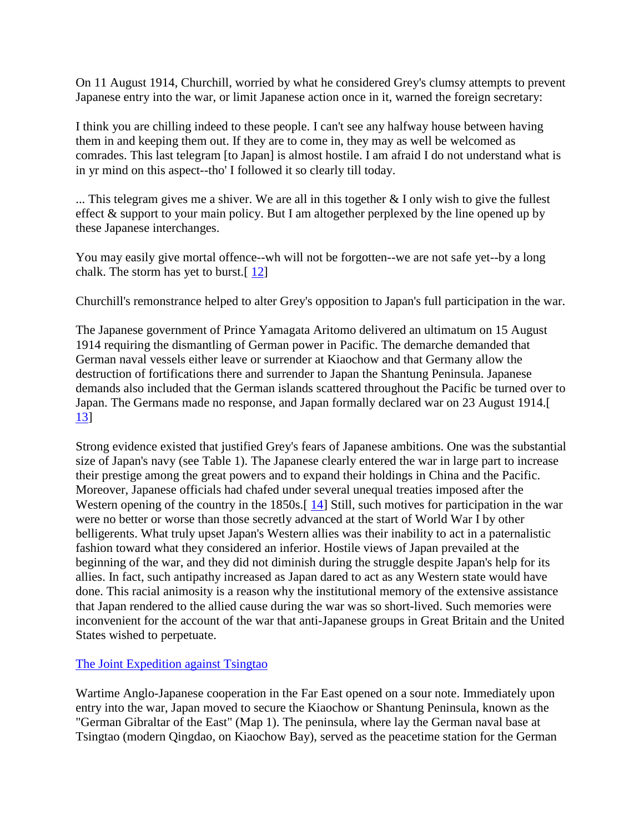On 11 August 1914, Churchill, worried by what he considered Grey's clumsy attempts to prevent Japanese entry into the war, or limit Japanese action once in it, warned the foreign secretary:

I think you are chilling indeed to these people. I can't see any halfway house between having them in and keeping them out. If they are to come in, they may as well be welcomed as comrades. This last telegram [to Japan] is almost hostile. I am afraid I do not understand what is in yr mind on this aspect--tho' I followed it so clearly till today.

... This telegram gives me a shiver. We are all in this together  $& I$  only wish to give the fullest effect & support to your main policy. But I am altogether perplexed by the line opened up by these Japanese interchanges.

You may easily give mortal offence--wh will not be forgotten--we are not safe yet--by a long chalk. The storm has yet to burst.[ [12\]](http://web.ebscohost.com/ehost/delivery?vid=5&hid=9&sid=020941e6-c148-4c15-a8af-fde9609c5d1c%40sessionmgr10#bib12)

Churchill's remonstrance helped to alter Grey's opposition to Japan's full participation in the war.

The Japanese government of Prince Yamagata Aritomo delivered an ultimatum on 15 August 1914 requiring the dismantling of German power in Pacific. The demarche demanded that German naval vessels either leave or surrender at Kiaochow and that Germany allow the destruction of fortifications there and surrender to Japan the Shantung Peninsula. Japanese demands also included that the German islands scattered throughout the Pacific be turned over to Japan. The Germans made no response, and Japan formally declared war on 23 August 1914.[ [13\]](http://web.ebscohost.com/ehost/delivery?vid=5&hid=9&sid=020941e6-c148-4c15-a8af-fde9609c5d1c%40sessionmgr10#bib13)

Strong evidence existed that justified Grey's fears of Japanese ambitions. One was the substantial size of Japan's navy (see Table 1). The Japanese clearly entered the war in large part to increase their prestige among the great powers and to expand their holdings in China and the Pacific. Moreover, Japanese officials had chafed under several unequal treaties imposed after the Western opening of the country in the 1850s.<sup>[14]</sup> Still, such motives for participation in the war were no better or worse than those secretly advanced at the start of World War I by other belligerents. What truly upset Japan's Western allies was their inability to act in a paternalistic fashion toward what they considered an inferior. Hostile views of Japan prevailed at the beginning of the war, and they did not diminish during the struggle despite Japan's help for its allies. In fact, such antipathy increased as Japan dared to act as any Western state would have done. This racial animosity is a reason why the institutional memory of the extensive assistance that Japan rendered to the allied cause during the war was so short-lived. Such memories were inconvenient for the account of the war that anti-Japanese groups in Great Britain and the United States wished to perpetuate.

# [The Joint Expedition against Tsingtao](http://web.ebscohost.com/ehost/delivery?vid=5&hid=9&sid=020941e6-c148-4c15-a8af-fde9609c5d1c%40sessionmgr10#toc)

Wartime Anglo-Japanese cooperation in the Far East opened on a sour note. Immediately upon entry into the war, Japan moved to secure the Kiaochow or Shantung Peninsula, known as the "German Gibraltar of the East" (Map 1). The peninsula, where lay the German naval base at Tsingtao (modern Qingdao, on Kiaochow Bay), served as the peacetime station for the German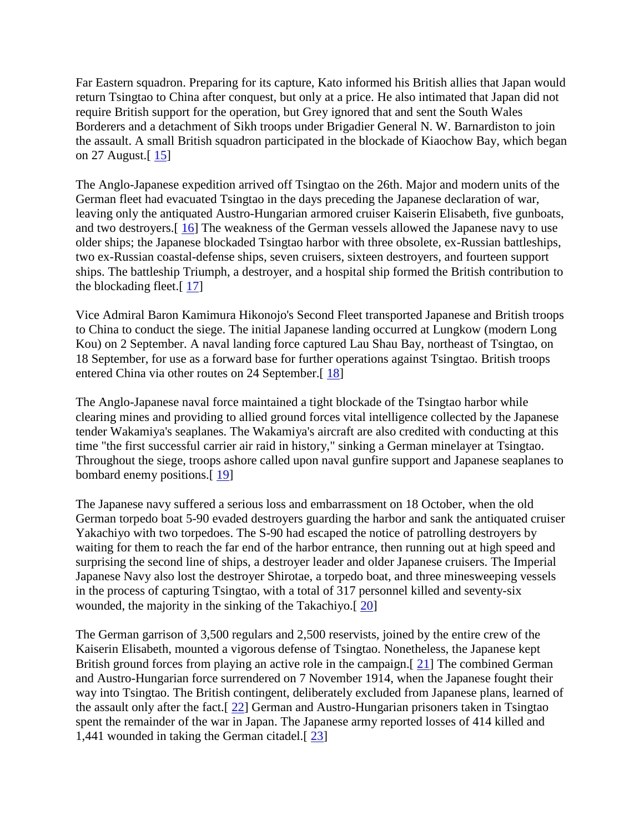Far Eastern squadron. Preparing for its capture, Kato informed his British allies that Japan would return Tsingtao to China after conquest, but only at a price. He also intimated that Japan did not require British support for the operation, but Grey ignored that and sent the South Wales Borderers and a detachment of Sikh troops under Brigadier General N. W. Barnardiston to join the assault. A small British squadron participated in the blockade of Kiaochow Bay, which began on 27 August.[ [15\]](http://web.ebscohost.com/ehost/delivery?vid=5&hid=9&sid=020941e6-c148-4c15-a8af-fde9609c5d1c%40sessionmgr10#bib15)

The Anglo-Japanese expedition arrived off Tsingtao on the 26th. Major and modern units of the German fleet had evacuated Tsingtao in the days preceding the Japanese declaration of war, leaving only the antiquated Austro-Hungarian armored cruiser Kaiserin Elisabeth, five gunboats, and two destroyers.[ [16\]](http://web.ebscohost.com/ehost/delivery?vid=5&hid=9&sid=020941e6-c148-4c15-a8af-fde9609c5d1c%40sessionmgr10#bib16) The weakness of the German vessels allowed the Japanese navy to use older ships; the Japanese blockaded Tsingtao harbor with three obsolete, ex-Russian battleships, two ex-Russian coastal-defense ships, seven cruisers, sixteen destroyers, and fourteen support ships. The battleship Triumph, a destroyer, and a hospital ship formed the British contribution to the blockading fleet.[ [17\]](http://web.ebscohost.com/ehost/delivery?vid=5&hid=9&sid=020941e6-c148-4c15-a8af-fde9609c5d1c%40sessionmgr10#bib17)

Vice Admiral Baron Kamimura Hikonojo's Second Fleet transported Japanese and British troops to China to conduct the siege. The initial Japanese landing occurred at Lungkow (modern Long Kou) on 2 September. A naval landing force captured Lau Shau Bay, northeast of Tsingtao, on 18 September, for use as a forward base for further operations against Tsingtao. British troops entered China via other routes on 24 September.<sup>[18]</sup>

The Anglo-Japanese naval force maintained a tight blockade of the Tsingtao harbor while clearing mines and providing to allied ground forces vital intelligence collected by the Japanese tender Wakamiya's seaplanes. The Wakamiya's aircraft are also credited with conducting at this time "the first successful carrier air raid in history," sinking a German minelayer at Tsingtao. Throughout the siege, troops ashore called upon naval gunfire support and Japanese seaplanes to bombard enemy positions.[ [19\]](http://web.ebscohost.com/ehost/delivery?vid=5&hid=9&sid=020941e6-c148-4c15-a8af-fde9609c5d1c%40sessionmgr10#bib19)

The Japanese navy suffered a serious loss and embarrassment on 18 October, when the old German torpedo boat 5-90 evaded destroyers guarding the harbor and sank the antiquated cruiser Yakachiyo with two torpedoes. The S-90 had escaped the notice of patrolling destroyers by waiting for them to reach the far end of the harbor entrance, then running out at high speed and surprising the second line of ships, a destroyer leader and older Japanese cruisers. The Imperial Japanese Navy also lost the destroyer Shirotae, a torpedo boat, and three minesweeping vessels in the process of capturing Tsingtao, with a total of 317 personnel killed and seventy-six wounded, the majority in the sinking of the Takachiyo.[ [20\]](http://web.ebscohost.com/ehost/delivery?vid=5&hid=9&sid=020941e6-c148-4c15-a8af-fde9609c5d1c%40sessionmgr10#bib20)

The German garrison of 3,500 regulars and 2,500 reservists, joined by the entire crew of the Kaiserin Elisabeth, mounted a vigorous defense of Tsingtao. Nonetheless, the Japanese kept British ground forces from playing an active role in the campaign.[21] The combined German and Austro-Hungarian force surrendered on 7 November 1914, when the Japanese fought their way into Tsingtao. The British contingent, deliberately excluded from Japanese plans, learned of the assault only after the fact.[ [22\]](http://web.ebscohost.com/ehost/delivery?vid=5&hid=9&sid=020941e6-c148-4c15-a8af-fde9609c5d1c%40sessionmgr10#bib22) German and Austro-Hungarian prisoners taken in Tsingtao spent the remainder of the war in Japan. The Japanese army reported losses of 414 killed and 1,441 wounded in taking the German citadel.[ [23\]](http://web.ebscohost.com/ehost/delivery?vid=5&hid=9&sid=020941e6-c148-4c15-a8af-fde9609c5d1c%40sessionmgr10#bib23)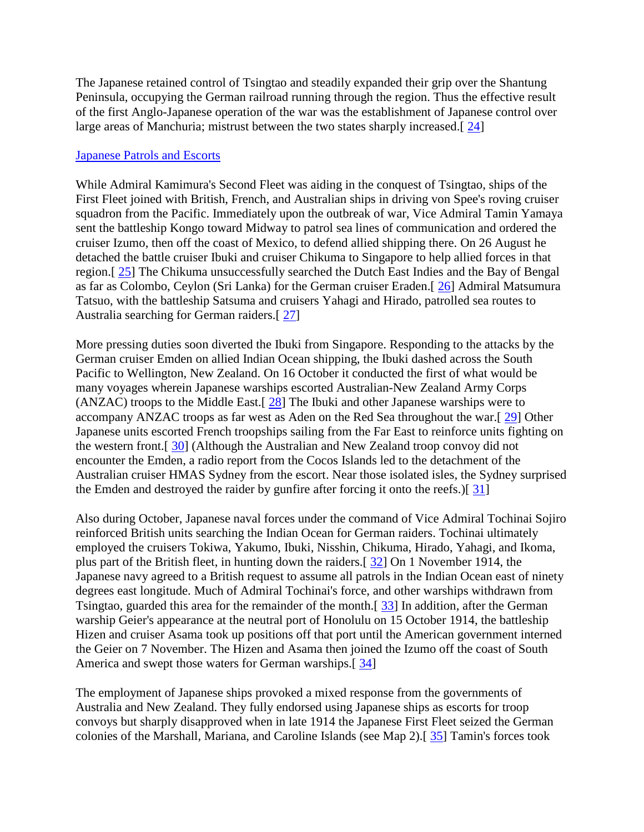The Japanese retained control of Tsingtao and steadily expanded their grip over the Shantung Peninsula, occupying the German railroad running through the region. Thus the effective result of the first Anglo-Japanese operation of the war was the establishment of Japanese control over large areas of Manchuria; mistrust between the two states sharply increased.[ [24\]](http://web.ebscohost.com/ehost/delivery?vid=5&hid=9&sid=020941e6-c148-4c15-a8af-fde9609c5d1c%40sessionmgr10#bib24)

#### [Japanese Patrols and Escorts](http://web.ebscohost.com/ehost/delivery?vid=5&hid=9&sid=020941e6-c148-4c15-a8af-fde9609c5d1c%40sessionmgr10#toc)

While Admiral Kamimura's Second Fleet was aiding in the conquest of Tsingtao, ships of the First Fleet joined with British, French, and Australian ships in driving von Spee's roving cruiser squadron from the Pacific. Immediately upon the outbreak of war, Vice Admiral Tamin Yamaya sent the battleship Kongo toward Midway to patrol sea lines of communication and ordered the cruiser Izumo, then off the coast of Mexico, to defend allied shipping there. On 26 August he detached the battle cruiser Ibuki and cruiser Chikuma to Singapore to help allied forces in that region.[ [25\]](http://web.ebscohost.com/ehost/delivery?vid=5&hid=9&sid=020941e6-c148-4c15-a8af-fde9609c5d1c%40sessionmgr10#bib25) The Chikuma unsuccessfully searched the Dutch East Indies and the Bay of Bengal as far as Colombo, Ceylon (Sri Lanka) for the German cruiser Eraden.[ [26\]](http://web.ebscohost.com/ehost/delivery?vid=5&hid=9&sid=020941e6-c148-4c15-a8af-fde9609c5d1c%40sessionmgr10#bib26) Admiral Matsumura Tatsuo, with the battleship Satsuma and cruisers Yahagi and Hirado, patrolled sea routes to Australia searching for German raiders.[ [27\]](http://web.ebscohost.com/ehost/delivery?vid=5&hid=9&sid=020941e6-c148-4c15-a8af-fde9609c5d1c%40sessionmgr10#bib27)

More pressing duties soon diverted the Ibuki from Singapore. Responding to the attacks by the German cruiser Emden on allied Indian Ocean shipping, the Ibuki dashed across the South Pacific to Wellington, New Zealand. On 16 October it conducted the first of what would be many voyages wherein Japanese warships escorted Australian-New Zealand Army Corps (ANZAC) troops to the Middle East.[ $\frac{28}{2}$ ] The Ibuki and other Japanese warships were to accompany ANZAC troops as far west as Aden on the Red Sea throughout the war.[ [29\]](http://web.ebscohost.com/ehost/delivery?vid=5&hid=9&sid=020941e6-c148-4c15-a8af-fde9609c5d1c%40sessionmgr10#bib29) Other Japanese units escorted French troopships sailing from the Far East to reinforce units fighting on the western front.[ [30\]](http://web.ebscohost.com/ehost/delivery?vid=5&hid=9&sid=020941e6-c148-4c15-a8af-fde9609c5d1c%40sessionmgr10#bib30) (Although the Australian and New Zealand troop convoy did not encounter the Emden, a radio report from the Cocos Islands led to the detachment of the Australian cruiser HMAS Sydney from the escort. Near those isolated isles, the Sydney surprised the Emden and destroyed the raider by gunfire after forcing it onto the reefs.)[ [31\]](http://web.ebscohost.com/ehost/delivery?vid=5&hid=9&sid=020941e6-c148-4c15-a8af-fde9609c5d1c%40sessionmgr10#bib31)

Also during October, Japanese naval forces under the command of Vice Admiral Tochinai Sojiro reinforced British units searching the Indian Ocean for German raiders. Tochinai ultimately employed the cruisers Tokiwa, Yakumo, Ibuki, Nisshin, Chikuma, Hirado, Yahagi, and Ikoma, plus part of the British fleet, in hunting down the raiders.[ [32\]](http://web.ebscohost.com/ehost/delivery?vid=5&hid=9&sid=020941e6-c148-4c15-a8af-fde9609c5d1c%40sessionmgr10#bib32) On 1 November 1914, the Japanese navy agreed to a British request to assume all patrols in the Indian Ocean east of ninety degrees east longitude. Much of Admiral Tochinai's force, and other warships withdrawn from Tsingtao, guarded this area for the remainder of the month.[ [33\]](http://web.ebscohost.com/ehost/delivery?vid=5&hid=9&sid=020941e6-c148-4c15-a8af-fde9609c5d1c%40sessionmgr10#bib33) In addition, after the German warship Geier's appearance at the neutral port of Honolulu on 15 October 1914, the battleship Hizen and cruiser Asama took up positions off that port until the American government interned the Geier on 7 November. The Hizen and Asama then joined the Izumo off the coast of South America and swept those waters for German warships.[34]

The employment of Japanese ships provoked a mixed response from the governments of Australia and New Zealand. They fully endorsed using Japanese ships as escorts for troop convoys but sharply disapproved when in late 1914 the Japanese First Fleet seized the German colonies of the Marshall, Mariana, and Caroline Islands (see Map 2).[ [35\]](http://web.ebscohost.com/ehost/delivery?vid=5&hid=9&sid=020941e6-c148-4c15-a8af-fde9609c5d1c%40sessionmgr10#bib35) Tamin's forces took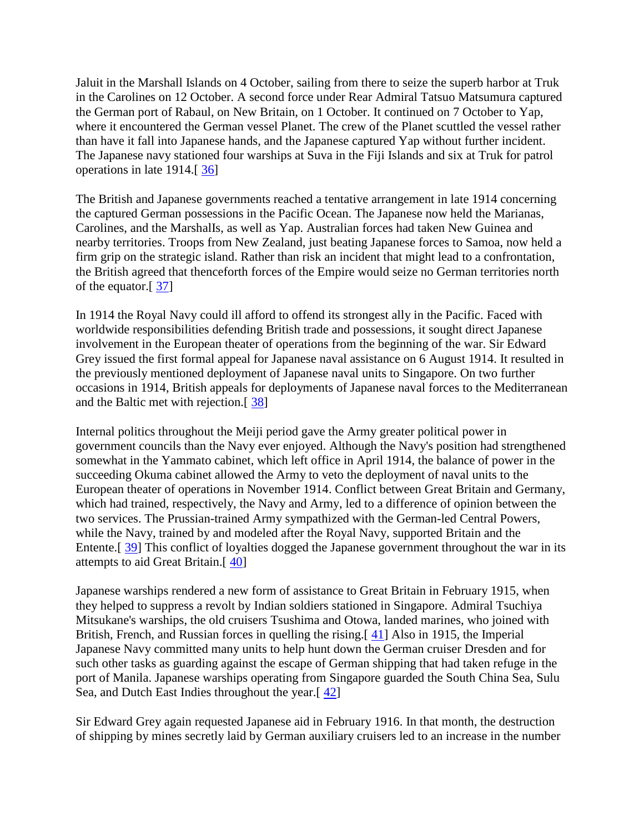Jaluit in the Marshall Islands on 4 October, sailing from there to seize the superb harbor at Truk in the Carolines on 12 October. A second force under Rear Admiral Tatsuo Matsumura captured the German port of Rabaul, on New Britain, on 1 October. It continued on 7 October to Yap, where it encountered the German vessel Planet. The crew of the Planet scuttled the vessel rather than have it fall into Japanese hands, and the Japanese captured Yap without further incident. The Japanese navy stationed four warships at Suva in the Fiji Islands and six at Truk for patrol operations in late 1914.[ [36\]](http://web.ebscohost.com/ehost/delivery?vid=5&hid=9&sid=020941e6-c148-4c15-a8af-fde9609c5d1c%40sessionmgr10#bib36)

The British and Japanese governments reached a tentative arrangement in late 1914 concerning the captured German possessions in the Pacific Ocean. The Japanese now held the Marianas, Carolines, and the MarshalIs, as well as Yap. Australian forces had taken New Guinea and nearby territories. Troops from New Zealand, just beating Japanese forces to Samoa, now held a firm grip on the strategic island. Rather than risk an incident that might lead to a confrontation, the British agreed that thenceforth forces of the Empire would seize no German territories north of the equator.[ [37\]](http://web.ebscohost.com/ehost/delivery?vid=5&hid=9&sid=020941e6-c148-4c15-a8af-fde9609c5d1c%40sessionmgr10#bib37)

In 1914 the Royal Navy could ill afford to offend its strongest ally in the Pacific. Faced with worldwide responsibilities defending British trade and possessions, it sought direct Japanese involvement in the European theater of operations from the beginning of the war. Sir Edward Grey issued the first formal appeal for Japanese naval assistance on 6 August 1914. It resulted in the previously mentioned deployment of Japanese naval units to Singapore. On two further occasions in 1914, British appeals for deployments of Japanese naval forces to the Mediterranean and the Baltic met with rejection.[ [38\]](http://web.ebscohost.com/ehost/delivery?vid=5&hid=9&sid=020941e6-c148-4c15-a8af-fde9609c5d1c%40sessionmgr10#bib38)

Internal politics throughout the Meiji period gave the Army greater political power in government councils than the Navy ever enjoyed. Although the Navy's position had strengthened somewhat in the Yammato cabinet, which left office in April 1914, the balance of power in the succeeding Okuma cabinet allowed the Army to veto the deployment of naval units to the European theater of operations in November 1914. Conflict between Great Britain and Germany, which had trained, respectively, the Navy and Army, led to a difference of opinion between the two services. The Prussian-trained Army sympathized with the German-led Central Powers, while the Navy, trained by and modeled after the Royal Navy, supported Britain and the Entente.[ [39\]](http://web.ebscohost.com/ehost/delivery?vid=5&hid=9&sid=020941e6-c148-4c15-a8af-fde9609c5d1c%40sessionmgr10#bib39) This conflict of loyalties dogged the Japanese government throughout the war in its attempts to aid Great Britain.[ [40\]](http://web.ebscohost.com/ehost/delivery?vid=5&hid=9&sid=020941e6-c148-4c15-a8af-fde9609c5d1c%40sessionmgr10#bib40)

Japanese warships rendered a new form of assistance to Great Britain in February 1915, when they helped to suppress a revolt by Indian soldiers stationed in Singapore. Admiral Tsuchiya Mitsukane's warships, the old cruisers Tsushima and Otowa, landed marines, who joined with British, French, and Russian forces in quelling the rising.<sup>[41]</sup> Also in 1915, the Imperial Japanese Navy committed many units to help hunt down the German cruiser Dresden and for such other tasks as guarding against the escape of German shipping that had taken refuge in the port of Manila. Japanese warships operating from Singapore guarded the South China Sea, Sulu Sea, and Dutch East Indies throughout the year.[ [42\]](http://web.ebscohost.com/ehost/delivery?vid=5&hid=9&sid=020941e6-c148-4c15-a8af-fde9609c5d1c%40sessionmgr10#bib42)

Sir Edward Grey again requested Japanese aid in February 1916. In that month, the destruction of shipping by mines secretly laid by German auxiliary cruisers led to an increase in the number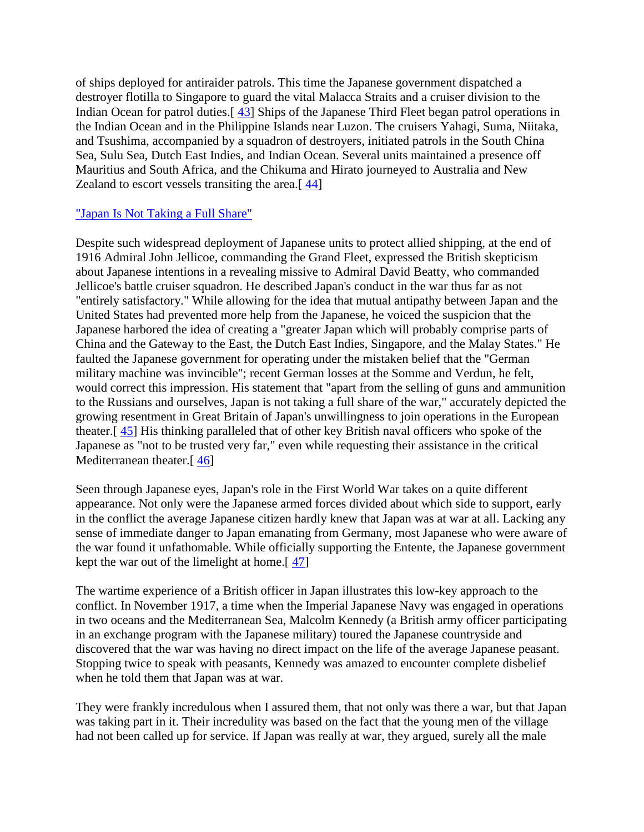of ships deployed for antiraider patrols. This time the Japanese government dispatched a destroyer flotilla to Singapore to guard the vital Malacca Straits and a cruiser division to the Indian Ocean for patrol duties.[ [43\]](http://web.ebscohost.com/ehost/delivery?vid=5&hid=9&sid=020941e6-c148-4c15-a8af-fde9609c5d1c%40sessionmgr10#bib43) Ships of the Japanese Third Fleet began patrol operations in the Indian Ocean and in the Philippine Islands near Luzon. The cruisers Yahagi, Suma, Niitaka, and Tsushima, accompanied by a squadron of destroyers, initiated patrols in the South China Sea, Sulu Sea, Dutch East Indies, and Indian Ocean. Several units maintained a presence off Mauritius and South Africa, and the Chikuma and Hirato journeyed to Australia and New Zealand to escort vessels transiting the area.[ [44\]](http://web.ebscohost.com/ehost/delivery?vid=5&hid=9&sid=020941e6-c148-4c15-a8af-fde9609c5d1c%40sessionmgr10#bib44)

## ["Japan Is Not Taking a Full Share"](http://web.ebscohost.com/ehost/delivery?vid=5&hid=9&sid=020941e6-c148-4c15-a8af-fde9609c5d1c%40sessionmgr10#toc)

Despite such widespread deployment of Japanese units to protect allied shipping, at the end of 1916 Admiral John Jellicoe, commanding the Grand Fleet, expressed the British skepticism about Japanese intentions in a revealing missive to Admiral David Beatty, who commanded Jellicoe's battle cruiser squadron. He described Japan's conduct in the war thus far as not "entirely satisfactory." While allowing for the idea that mutual antipathy between Japan and the United States had prevented more help from the Japanese, he voiced the suspicion that the Japanese harbored the idea of creating a "greater Japan which will probably comprise parts of China and the Gateway to the East, the Dutch East Indies, Singapore, and the Malay States." He faulted the Japanese government for operating under the mistaken belief that the "German military machine was invincible"; recent German losses at the Somme and Verdun, he felt, would correct this impression. His statement that "apart from the selling of guns and ammunition to the Russians and ourselves, Japan is not taking a full share of the war," accurately depicted the growing resentment in Great Britain of Japan's unwillingness to join operations in the European theater.[ [45\]](http://web.ebscohost.com/ehost/delivery?vid=5&hid=9&sid=020941e6-c148-4c15-a8af-fde9609c5d1c%40sessionmgr10#bib45) His thinking paralleled that of other key British naval officers who spoke of the Japanese as "not to be trusted very far," even while requesting their assistance in the critical Mediterranean theater.<sup>[46]</sup>

Seen through Japanese eyes, Japan's role in the First World War takes on a quite different appearance. Not only were the Japanese armed forces divided about which side to support, early in the conflict the average Japanese citizen hardly knew that Japan was at war at all. Lacking any sense of immediate danger to Japan emanating from Germany, most Japanese who were aware of the war found it unfathomable. While officially supporting the Entente, the Japanese government kept the war out of the limelight at home.[ [47\]](http://web.ebscohost.com/ehost/delivery?vid=5&hid=9&sid=020941e6-c148-4c15-a8af-fde9609c5d1c%40sessionmgr10#bib47)

The wartime experience of a British officer in Japan illustrates this low-key approach to the conflict. In November 1917, a time when the Imperial Japanese Navy was engaged in operations in two oceans and the Mediterranean Sea, Malcolm Kennedy (a British army officer participating in an exchange program with the Japanese military) toured the Japanese countryside and discovered that the war was having no direct impact on the life of the average Japanese peasant. Stopping twice to speak with peasants, Kennedy was amazed to encounter complete disbelief when he told them that Japan was at war.

They were frankly incredulous when I assured them, that not only was there a war, but that Japan was taking part in it. Their incredulity was based on the fact that the young men of the village had not been called up for service. If Japan was really at war, they argued, surely all the male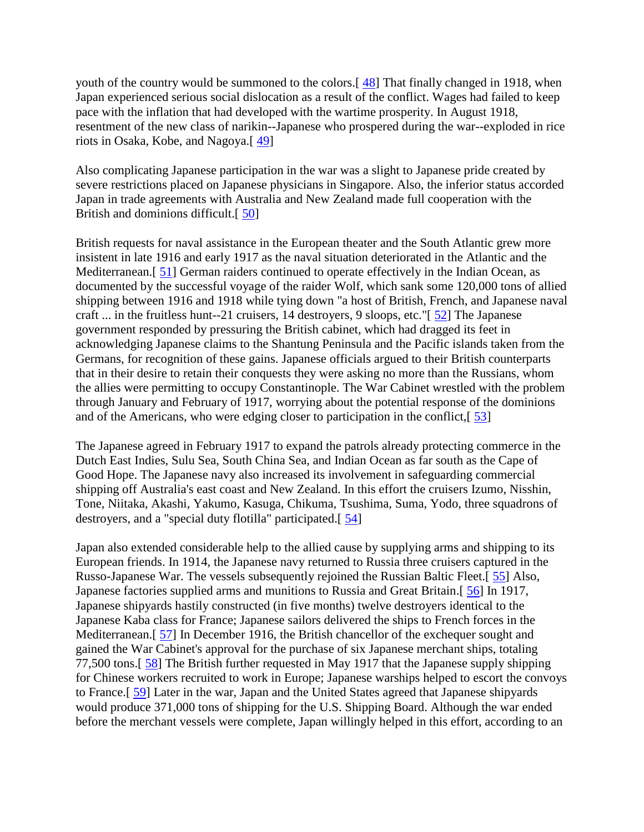youth of the country would be summoned to the colors.<sup>[48]</sup> That finally changed in 1918, when Japan experienced serious social dislocation as a result of the conflict. Wages had failed to keep pace with the inflation that had developed with the wartime prosperity. In August 1918, resentment of the new class of narikin--Japanese who prospered during the war--exploded in rice riots in Osaka, Kobe, and Nagoya.[ [49\]](http://web.ebscohost.com/ehost/delivery?vid=5&hid=9&sid=020941e6-c148-4c15-a8af-fde9609c5d1c%40sessionmgr10#bib49)

Also complicating Japanese participation in the war was a slight to Japanese pride created by severe restrictions placed on Japanese physicians in Singapore. Also, the inferior status accorded Japan in trade agreements with Australia and New Zealand made full cooperation with the British and dominions difficult.[ [50\]](http://web.ebscohost.com/ehost/delivery?vid=5&hid=9&sid=020941e6-c148-4c15-a8af-fde9609c5d1c%40sessionmgr10#bib50)

British requests for naval assistance in the European theater and the South Atlantic grew more insistent in late 1916 and early 1917 as the naval situation deteriorated in the Atlantic and the Mediterranean.<sup>[51]</sup> German raiders continued to operate effectively in the Indian Ocean, as documented by the successful voyage of the raider Wolf, which sank some 120,000 tons of allied shipping between 1916 and 1918 while tying down "a host of British, French, and Japanese naval craft ... in the fruitless hunt--21 cruisers, 14 destroyers, 9 sloops, etc."[ [52\]](http://web.ebscohost.com/ehost/delivery?vid=5&hid=9&sid=020941e6-c148-4c15-a8af-fde9609c5d1c%40sessionmgr10#bib52) The Japanese government responded by pressuring the British cabinet, which had dragged its feet in acknowledging Japanese claims to the Shantung Peninsula and the Pacific islands taken from the Germans, for recognition of these gains. Japanese officials argued to their British counterparts that in their desire to retain their conquests they were asking no more than the Russians, whom the allies were permitting to occupy Constantinople. The War Cabinet wrestled with the problem through January and February of 1917, worrying about the potential response of the dominions and of the Americans, who were edging closer to participation in the conflict,[ [53\]](http://web.ebscohost.com/ehost/delivery?vid=5&hid=9&sid=020941e6-c148-4c15-a8af-fde9609c5d1c%40sessionmgr10#bib53)

The Japanese agreed in February 1917 to expand the patrols already protecting commerce in the Dutch East Indies, Sulu Sea, South China Sea, and Indian Ocean as far south as the Cape of Good Hope. The Japanese navy also increased its involvement in safeguarding commercial shipping off Australia's east coast and New Zealand. In this effort the cruisers Izumo, Nisshin, Tone, Niitaka, Akashi, Yakumo, Kasuga, Chikuma, Tsushima, Suma, Yodo, three squadrons of destroyers, and a "special duty flotilla" participated.[ [54\]](http://web.ebscohost.com/ehost/delivery?vid=5&hid=9&sid=020941e6-c148-4c15-a8af-fde9609c5d1c%40sessionmgr10#bib54)

Japan also extended considerable help to the allied cause by supplying arms and shipping to its European friends. In 1914, the Japanese navy returned to Russia three cruisers captured in the Russo-Japanese War. The vessels subsequently rejoined the Russian Baltic Fleet.[ [55\]](http://web.ebscohost.com/ehost/delivery?vid=5&hid=9&sid=020941e6-c148-4c15-a8af-fde9609c5d1c%40sessionmgr10#bib55) Also, Japanese factories supplied arms and munitions to Russia and Great Britain.[  $\frac{56}{10}$  In 1917, Japanese shipyards hastily constructed (in five months) twelve destroyers identical to the Japanese Kaba class for France; Japanese sailors delivered the ships to French forces in the Mediterranean.[ [57\]](http://web.ebscohost.com/ehost/delivery?vid=5&hid=9&sid=020941e6-c148-4c15-a8af-fde9609c5d1c%40sessionmgr10#bib57) In December 1916, the British chancellor of the exchequer sought and gained the War Cabinet's approval for the purchase of six Japanese merchant ships, totaling 77,500 tons.[ [58\]](http://web.ebscohost.com/ehost/delivery?vid=5&hid=9&sid=020941e6-c148-4c15-a8af-fde9609c5d1c%40sessionmgr10#bib58) The British further requested in May 1917 that the Japanese supply shipping for Chinese workers recruited to work in Europe; Japanese warships helped to escort the convoys to France.[ [59\]](http://web.ebscohost.com/ehost/delivery?vid=5&hid=9&sid=020941e6-c148-4c15-a8af-fde9609c5d1c%40sessionmgr10#bib59) Later in the war, Japan and the United States agreed that Japanese shipyards would produce 371,000 tons of shipping for the U.S. Shipping Board. Although the war ended before the merchant vessels were complete, Japan willingly helped in this effort, according to an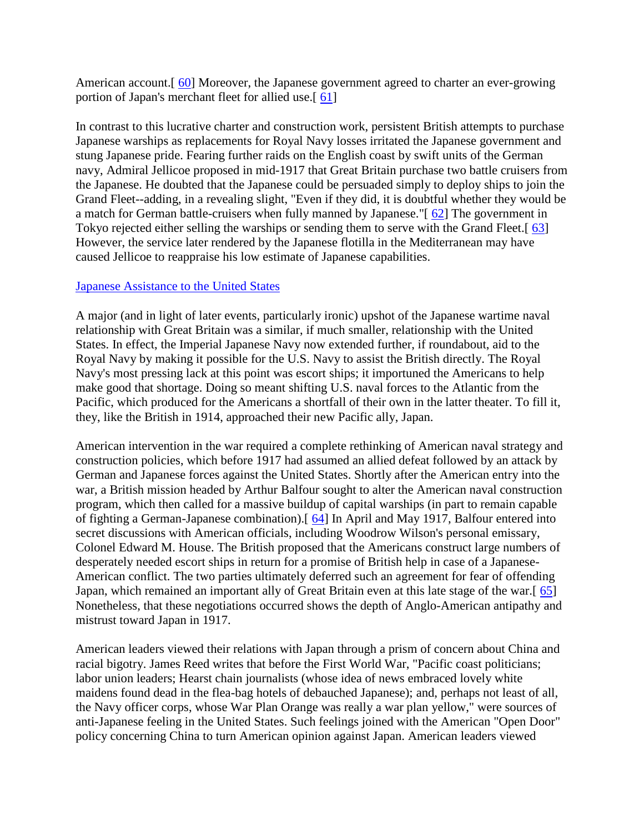American account.<sup>[60]</sup> Moreover, the Japanese government agreed to charter an ever-growing portion of Japan's merchant fleet for allied use.[ [61\]](http://web.ebscohost.com/ehost/delivery?vid=5&hid=9&sid=020941e6-c148-4c15-a8af-fde9609c5d1c%40sessionmgr10#bib61)

In contrast to this lucrative charter and construction work, persistent British attempts to purchase Japanese warships as replacements for Royal Navy losses irritated the Japanese government and stung Japanese pride. Fearing further raids on the English coast by swift units of the German navy, Admiral Jellicoe proposed in mid-1917 that Great Britain purchase two battle cruisers from the Japanese. He doubted that the Japanese could be persuaded simply to deploy ships to join the Grand Fleet--adding, in a revealing slight, "Even if they did, it is doubtful whether they would be a match for German battle-cruisers when fully manned by Japanese."[ [62\]](http://web.ebscohost.com/ehost/delivery?vid=5&hid=9&sid=020941e6-c148-4c15-a8af-fde9609c5d1c%40sessionmgr10#bib62) The government in Tokyo rejected either selling the warships or sending them to serve with the Grand Fleet.[ [63\]](http://web.ebscohost.com/ehost/delivery?vid=5&hid=9&sid=020941e6-c148-4c15-a8af-fde9609c5d1c%40sessionmgr10#bib63) However, the service later rendered by the Japanese flotilla in the Mediterranean may have caused Jellicoe to reappraise his low estimate of Japanese capabilities.

## [Japanese Assistance to the United States](http://web.ebscohost.com/ehost/delivery?vid=5&hid=9&sid=020941e6-c148-4c15-a8af-fde9609c5d1c%40sessionmgr10#toc)

A major (and in light of later events, particularly ironic) upshot of the Japanese wartime naval relationship with Great Britain was a similar, if much smaller, relationship with the United States. In effect, the Imperial Japanese Navy now extended further, if roundabout, aid to the Royal Navy by making it possible for the U.S. Navy to assist the British directly. The Royal Navy's most pressing lack at this point was escort ships; it importuned the Americans to help make good that shortage. Doing so meant shifting U.S. naval forces to the Atlantic from the Pacific, which produced for the Americans a shortfall of their own in the latter theater. To fill it, they, like the British in 1914, approached their new Pacific ally, Japan.

American intervention in the war required a complete rethinking of American naval strategy and construction policies, which before 1917 had assumed an allied defeat followed by an attack by German and Japanese forces against the United States. Shortly after the American entry into the war, a British mission headed by Arthur Balfour sought to alter the American naval construction program, which then called for a massive buildup of capital warships (in part to remain capable of fighting a German-Japanese combination).[ [64\]](http://web.ebscohost.com/ehost/delivery?vid=5&hid=9&sid=020941e6-c148-4c15-a8af-fde9609c5d1c%40sessionmgr10#bib64) In April and May 1917, Balfour entered into secret discussions with American officials, including Woodrow Wilson's personal emissary, Colonel Edward M. House. The British proposed that the Americans construct large numbers of desperately needed escort ships in return for a promise of British help in case of a Japanese-American conflict. The two parties ultimately deferred such an agreement for fear of offending Japan, which remained an important ally of Great Britain even at this late stage of the war.[ [65\]](http://web.ebscohost.com/ehost/delivery?vid=5&hid=9&sid=020941e6-c148-4c15-a8af-fde9609c5d1c%40sessionmgr10#bib65) Nonetheless, that these negotiations occurred shows the depth of Anglo-American antipathy and mistrust toward Japan in 1917.

American leaders viewed their relations with Japan through a prism of concern about China and racial bigotry. James Reed writes that before the First World War, "Pacific coast politicians; labor union leaders; Hearst chain journalists (whose idea of news embraced lovely white maidens found dead in the flea-bag hotels of debauched Japanese); and, perhaps not least of all, the Navy officer corps, whose War Plan Orange was really a war plan yellow," were sources of anti-Japanese feeling in the United States. Such feelings joined with the American "Open Door" policy concerning China to turn American opinion against Japan. American leaders viewed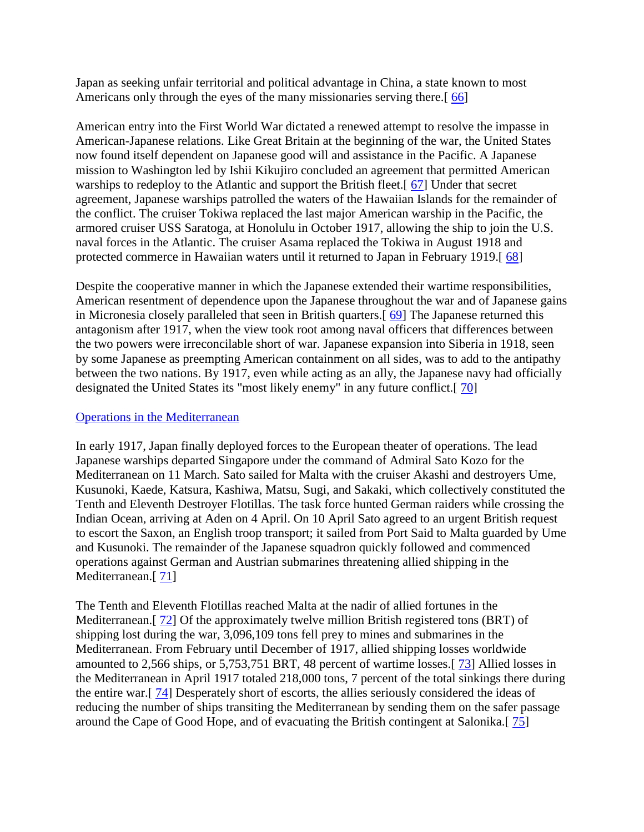Japan as seeking unfair territorial and political advantage in China, a state known to most Americans only through the eyes of the many missionaries serving there.[66]

American entry into the First World War dictated a renewed attempt to resolve the impasse in American-Japanese relations. Like Great Britain at the beginning of the war, the United States now found itself dependent on Japanese good will and assistance in the Pacific. A Japanese mission to Washington led by Ishii Kikujiro concluded an agreement that permitted American warships to redeploy to the Atlantic and support the British fleet.<sup>[67]</sup> Under that secret agreement, Japanese warships patrolled the waters of the Hawaiian Islands for the remainder of the conflict. The cruiser Tokiwa replaced the last major American warship in the Pacific, the armored cruiser USS Saratoga, at Honolulu in October 1917, allowing the ship to join the U.S. naval forces in the Atlantic. The cruiser Asama replaced the Tokiwa in August 1918 and protected commerce in Hawaiian waters until it returned to Japan in February 1919.[ [68\]](http://web.ebscohost.com/ehost/delivery?vid=5&hid=9&sid=020941e6-c148-4c15-a8af-fde9609c5d1c%40sessionmgr10#bib68)

Despite the cooperative manner in which the Japanese extended their wartime responsibilities, American resentment of dependence upon the Japanese throughout the war and of Japanese gains in Micronesia closely paralleled that seen in British quarters.[ [69\]](http://web.ebscohost.com/ehost/delivery?vid=5&hid=9&sid=020941e6-c148-4c15-a8af-fde9609c5d1c%40sessionmgr10#bib69) The Japanese returned this antagonism after 1917, when the view took root among naval officers that differences between the two powers were irreconcilable short of war. Japanese expansion into Siberia in 1918, seen by some Japanese as preempting American containment on all sides, was to add to the antipathy between the two nations. By 1917, even while acting as an ally, the Japanese navy had officially designated the United States its "most likely enemy" in any future conflict.[ [70\]](http://web.ebscohost.com/ehost/delivery?vid=5&hid=9&sid=020941e6-c148-4c15-a8af-fde9609c5d1c%40sessionmgr10#bib70)

#### [Operations in the Mediterranean](http://web.ebscohost.com/ehost/delivery?vid=5&hid=9&sid=020941e6-c148-4c15-a8af-fde9609c5d1c%40sessionmgr10#toc)

In early 1917, Japan finally deployed forces to the European theater of operations. The lead Japanese warships departed Singapore under the command of Admiral Sato Kozo for the Mediterranean on 11 March. Sato sailed for Malta with the cruiser Akashi and destroyers Ume, Kusunoki, Kaede, Katsura, Kashiwa, Matsu, Sugi, and Sakaki, which collectively constituted the Tenth and Eleventh Destroyer Flotillas. The task force hunted German raiders while crossing the Indian Ocean, arriving at Aden on 4 April. On 10 April Sato agreed to an urgent British request to escort the Saxon, an English troop transport; it sailed from Port Said to Malta guarded by Ume and Kusunoki. The remainder of the Japanese squadron quickly followed and commenced operations against German and Austrian submarines threatening allied shipping in the Mediterranean.<sup>[71]</sup>

The Tenth and Eleventh Flotillas reached Malta at the nadir of allied fortunes in the Mediterranean.<sup>[72]</sup> Of the approximately twelve million British registered tons (BRT) of shipping lost during the war, 3,096,109 tons fell prey to mines and submarines in the Mediterranean. From February until December of 1917, allied shipping losses worldwide amounted to 2,566 ships, or 5,753,751 BRT, 48 percent of wartime losses.[ [73\]](http://web.ebscohost.com/ehost/delivery?vid=5&hid=9&sid=020941e6-c148-4c15-a8af-fde9609c5d1c%40sessionmgr10#bib73) Allied losses in the Mediterranean in April 1917 totaled 218,000 tons, 7 percent of the total sinkings there during the entire war.[ [74\]](http://web.ebscohost.com/ehost/delivery?vid=5&hid=9&sid=020941e6-c148-4c15-a8af-fde9609c5d1c%40sessionmgr10#bib74) Desperately short of escorts, the allies seriously considered the ideas of reducing the number of ships transiting the Mediterranean by sending them on the safer passage around the Cape of Good Hope, and of evacuating the British contingent at Salonika.[ [75\]](http://web.ebscohost.com/ehost/delivery?vid=5&hid=9&sid=020941e6-c148-4c15-a8af-fde9609c5d1c%40sessionmgr10#bib75)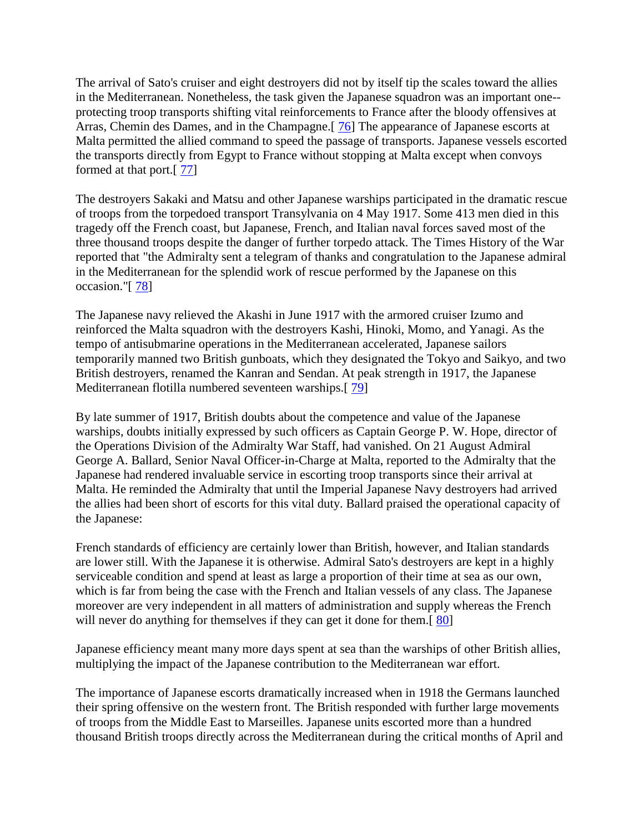The arrival of Sato's cruiser and eight destroyers did not by itself tip the scales toward the allies in the Mediterranean. Nonetheless, the task given the Japanese squadron was an important one- protecting troop transports shifting vital reinforcements to France after the bloody offensives at Arras, Chemin des Dames, and in the Champagne.[ [76\]](http://web.ebscohost.com/ehost/delivery?vid=5&hid=9&sid=020941e6-c148-4c15-a8af-fde9609c5d1c%40sessionmgr10#bib76) The appearance of Japanese escorts at Malta permitted the allied command to speed the passage of transports. Japanese vessels escorted the transports directly from Egypt to France without stopping at Malta except when convoys formed at that port.[ [77\]](http://web.ebscohost.com/ehost/delivery?vid=5&hid=9&sid=020941e6-c148-4c15-a8af-fde9609c5d1c%40sessionmgr10#bib77)

The destroyers Sakaki and Matsu and other Japanese warships participated in the dramatic rescue of troops from the torpedoed transport Transylvania on 4 May 1917. Some 413 men died in this tragedy off the French coast, but Japanese, French, and Italian naval forces saved most of the three thousand troops despite the danger of further torpedo attack. The Times History of the War reported that "the Admiralty sent a telegram of thanks and congratulation to the Japanese admiral in the Mediterranean for the splendid work of rescue performed by the Japanese on this occasion."[ [78\]](http://web.ebscohost.com/ehost/delivery?vid=5&hid=9&sid=020941e6-c148-4c15-a8af-fde9609c5d1c%40sessionmgr10#bib78)

The Japanese navy relieved the Akashi in June 1917 with the armored cruiser Izumo and reinforced the Malta squadron with the destroyers Kashi, Hinoki, Momo, and Yanagi. As the tempo of antisubmarine operations in the Mediterranean accelerated, Japanese sailors temporarily manned two British gunboats, which they designated the Tokyo and Saikyo, and two British destroyers, renamed the Kanran and Sendan. At peak strength in 1917, the Japanese Mediterranean flotilla numbered seventeen warships.[ [79\]](http://web.ebscohost.com/ehost/delivery?vid=5&hid=9&sid=020941e6-c148-4c15-a8af-fde9609c5d1c%40sessionmgr10#bib79)

By late summer of 1917, British doubts about the competence and value of the Japanese warships, doubts initially expressed by such officers as Captain George P. W. Hope, director of the Operations Division of the Admiralty War Staff, had vanished. On 21 August Admiral George A. Ballard, Senior Naval Officer-in-Charge at Malta, reported to the Admiralty that the Japanese had rendered invaluable service in escorting troop transports since their arrival at Malta. He reminded the Admiralty that until the Imperial Japanese Navy destroyers had arrived the allies had been short of escorts for this vital duty. Ballard praised the operational capacity of the Japanese:

French standards of efficiency are certainly lower than British, however, and Italian standards are lower still. With the Japanese it is otherwise. Admiral Sato's destroyers are kept in a highly serviceable condition and spend at least as large a proportion of their time at sea as our own, which is far from being the case with the French and Italian vessels of any class. The Japanese moreover are very independent in all matters of administration and supply whereas the French will never do anything for themselves if they can get it done for them.<sup>[80]</sup>

Japanese efficiency meant many more days spent at sea than the warships of other British allies, multiplying the impact of the Japanese contribution to the Mediterranean war effort.

The importance of Japanese escorts dramatically increased when in 1918 the Germans launched their spring offensive on the western front. The British responded with further large movements of troops from the Middle East to Marseilles. Japanese units escorted more than a hundred thousand British troops directly across the Mediterranean during the critical months of April and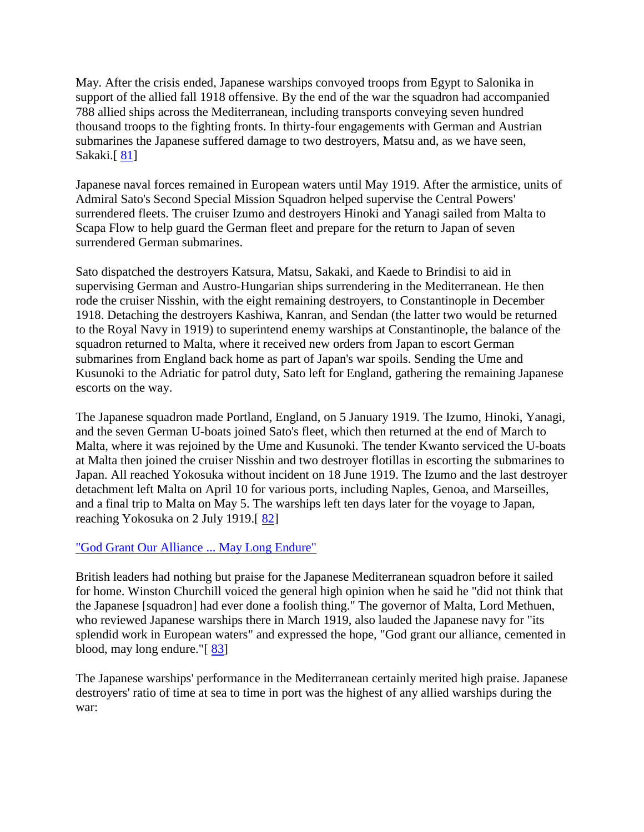May. After the crisis ended, Japanese warships convoyed troops from Egypt to Salonika in support of the allied fall 1918 offensive. By the end of the war the squadron had accompanied 788 allied ships across the Mediterranean, including transports conveying seven hundred thousand troops to the fighting fronts. In thirty-four engagements with German and Austrian submarines the Japanese suffered damage to two destroyers, Matsu and, as we have seen, Sakaki.<sup>[81]</sup>

Japanese naval forces remained in European waters until May 1919. After the armistice, units of Admiral Sato's Second Special Mission Squadron helped supervise the Central Powers' surrendered fleets. The cruiser Izumo and destroyers Hinoki and Yanagi sailed from Malta to Scapa Flow to help guard the German fleet and prepare for the return to Japan of seven surrendered German submarines.

Sato dispatched the destroyers Katsura, Matsu, Sakaki, and Kaede to Brindisi to aid in supervising German and Austro-Hungarian ships surrendering in the Mediterranean. He then rode the cruiser Nisshin, with the eight remaining destroyers, to Constantinople in December 1918. Detaching the destroyers Kashiwa, Kanran, and Sendan (the latter two would be returned to the Royal Navy in 1919) to superintend enemy warships at Constantinople, the balance of the squadron returned to Malta, where it received new orders from Japan to escort German submarines from England back home as part of Japan's war spoils. Sending the Ume and Kusunoki to the Adriatic for patrol duty, Sato left for England, gathering the remaining Japanese escorts on the way.

The Japanese squadron made Portland, England, on 5 January 1919. The Izumo, Hinoki, Yanagi, and the seven German U-boats joined Sato's fleet, which then returned at the end of March to Malta, where it was rejoined by the Ume and Kusunoki. The tender Kwanto serviced the U-boats at Malta then joined the cruiser Nisshin and two destroyer flotillas in escorting the submarines to Japan. All reached Yokosuka without incident on 18 June 1919. The Izumo and the last destroyer detachment left Malta on April 10 for various ports, including Naples, Genoa, and Marseilles, and a final trip to Malta on May 5. The warships left ten days later for the voyage to Japan, reaching Yokosuka on 2 July 1919.[ [82\]](http://web.ebscohost.com/ehost/delivery?vid=5&hid=9&sid=020941e6-c148-4c15-a8af-fde9609c5d1c%40sessionmgr10#bib82)

# ["God Grant Our Alliance ... May Long Endure"](http://web.ebscohost.com/ehost/delivery?vid=5&hid=9&sid=020941e6-c148-4c15-a8af-fde9609c5d1c%40sessionmgr10#toc)

British leaders had nothing but praise for the Japanese Mediterranean squadron before it sailed for home. Winston Churchill voiced the general high opinion when he said he "did not think that the Japanese [squadron] had ever done a foolish thing." The governor of Malta, Lord Methuen, who reviewed Japanese warships there in March 1919, also lauded the Japanese navy for "its splendid work in European waters" and expressed the hope, "God grant our alliance, cemented in blood, may long endure."[ [83\]](http://web.ebscohost.com/ehost/delivery?vid=5&hid=9&sid=020941e6-c148-4c15-a8af-fde9609c5d1c%40sessionmgr10#bib83)

The Japanese warships' performance in the Mediterranean certainly merited high praise. Japanese destroyers' ratio of time at sea to time in port was the highest of any allied warships during the war: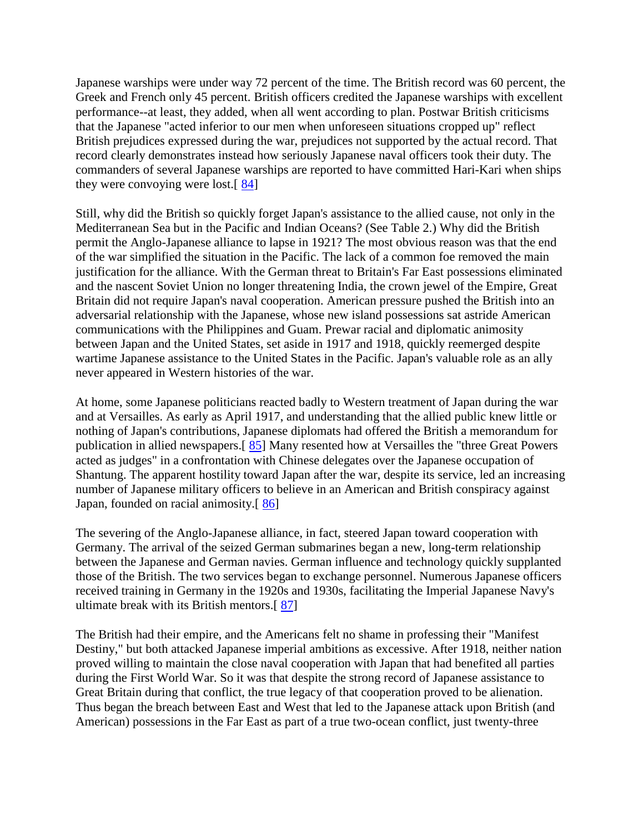Japanese warships were under way 72 percent of the time. The British record was 60 percent, the Greek and French only 45 percent. British officers credited the Japanese warships with excellent performance--at least, they added, when all went according to plan. Postwar British criticisms that the Japanese "acted inferior to our men when unforeseen situations cropped up" reflect British prejudices expressed during the war, prejudices not supported by the actual record. That record clearly demonstrates instead how seriously Japanese naval officers took their duty. The commanders of several Japanese warships are reported to have committed Hari-Kari when ships they were convoying were lost.[ [84\]](http://web.ebscohost.com/ehost/delivery?vid=5&hid=9&sid=020941e6-c148-4c15-a8af-fde9609c5d1c%40sessionmgr10#bib84)

Still, why did the British so quickly forget Japan's assistance to the allied cause, not only in the Mediterranean Sea but in the Pacific and Indian Oceans? (See Table 2.) Why did the British permit the Anglo-Japanese alliance to lapse in 1921? The most obvious reason was that the end of the war simplified the situation in the Pacific. The lack of a common foe removed the main justification for the alliance. With the German threat to Britain's Far East possessions eliminated and the nascent Soviet Union no longer threatening India, the crown jewel of the Empire, Great Britain did not require Japan's naval cooperation. American pressure pushed the British into an adversarial relationship with the Japanese, whose new island possessions sat astride American communications with the Philippines and Guam. Prewar racial and diplomatic animosity between Japan and the United States, set aside in 1917 and 1918, quickly reemerged despite wartime Japanese assistance to the United States in the Pacific. Japan's valuable role as an ally never appeared in Western histories of the war.

At home, some Japanese politicians reacted badly to Western treatment of Japan during the war and at Versailles. As early as April 1917, and understanding that the allied public knew little or nothing of Japan's contributions, Japanese diplomats had offered the British a memorandum for publication in allied newspapers.[ [85\]](http://web.ebscohost.com/ehost/delivery?vid=5&hid=9&sid=020941e6-c148-4c15-a8af-fde9609c5d1c%40sessionmgr10#bib85) Many resented how at Versailles the "three Great Powers acted as judges" in a confrontation with Chinese delegates over the Japanese occupation of Shantung. The apparent hostility toward Japan after the war, despite its service, led an increasing number of Japanese military officers to believe in an American and British conspiracy against Japan, founded on racial animosity.[ [86\]](http://web.ebscohost.com/ehost/delivery?vid=5&hid=9&sid=020941e6-c148-4c15-a8af-fde9609c5d1c%40sessionmgr10#bib86)

The severing of the Anglo-Japanese alliance, in fact, steered Japan toward cooperation with Germany. The arrival of the seized German submarines began a new, long-term relationship between the Japanese and German navies. German influence and technology quickly supplanted those of the British. The two services began to exchange personnel. Numerous Japanese officers received training in Germany in the 1920s and 1930s, facilitating the Imperial Japanese Navy's ultimate break with its British mentors.[ [87\]](http://web.ebscohost.com/ehost/delivery?vid=5&hid=9&sid=020941e6-c148-4c15-a8af-fde9609c5d1c%40sessionmgr10#bib87)

The British had their empire, and the Americans felt no shame in professing their "Manifest Destiny," but both attacked Japanese imperial ambitions as excessive. After 1918, neither nation proved willing to maintain the close naval cooperation with Japan that had benefited all parties during the First World War. So it was that despite the strong record of Japanese assistance to Great Britain during that conflict, the true legacy of that cooperation proved to be alienation. Thus began the breach between East and West that led to the Japanese attack upon British (and American) possessions in the Far East as part of a true two-ocean conflict, just twenty-three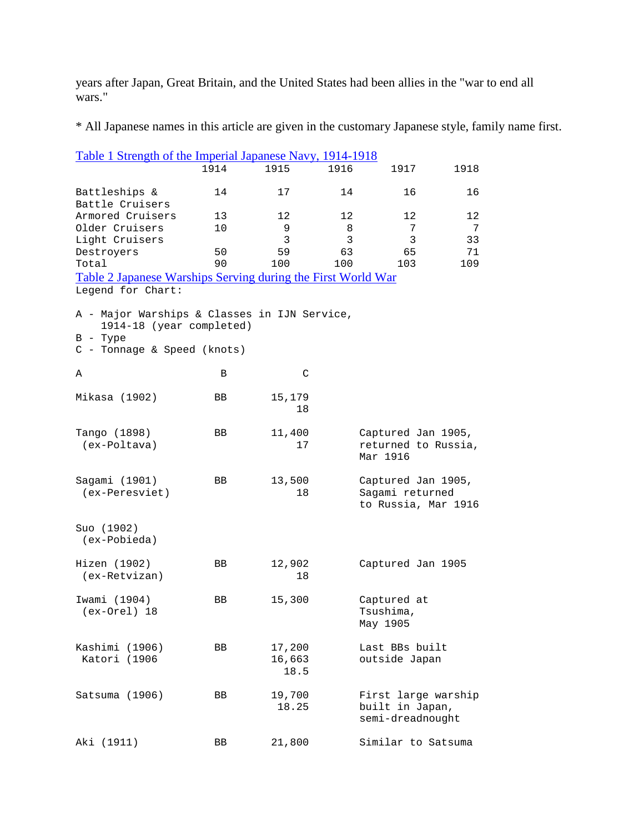years after Japan, Great Britain, and the United States had been allies in the "war to end all wars."

\* All Japanese names in this article are given in the customary Japanese style, family name first.

|                                                                                                                       | Table 1 Strength of the Imperial Japanese Navy, 1914-1918 |                          |      |                                                              |      |  |  |
|-----------------------------------------------------------------------------------------------------------------------|-----------------------------------------------------------|--------------------------|------|--------------------------------------------------------------|------|--|--|
|                                                                                                                       | 1914                                                      | 1915                     | 1916 | 1917                                                         | 1918 |  |  |
|                                                                                                                       |                                                           |                          |      |                                                              |      |  |  |
| Battleships &                                                                                                         | 14                                                        | 17                       | 14   | 16                                                           | 16   |  |  |
| Battle Cruisers                                                                                                       |                                                           |                          |      |                                                              |      |  |  |
| Armored Cruisers                                                                                                      | 13                                                        | 12                       | 12   | 12                                                           | 12   |  |  |
| Older Cruisers                                                                                                        | 10                                                        | 9                        | 8    | 7                                                            | 7    |  |  |
| Light Cruisers                                                                                                        |                                                           | 3                        | 3    | 3                                                            | 33   |  |  |
| Destroyers                                                                                                            | 50                                                        | 59                       | 63   | 65                                                           | 71   |  |  |
| Total                                                                                                                 | 90                                                        | 100                      | 100  | 103                                                          | 109  |  |  |
| Table 2 Japanese Warships Serving during the First World War                                                          |                                                           |                          |      |                                                              |      |  |  |
| Legend for Chart:                                                                                                     |                                                           |                          |      |                                                              |      |  |  |
| A - Major Warships & Classes in IJN Service,<br>1914-18 (year completed)<br>$B - Type$<br>C - Tonnage & Speed (knots) |                                                           |                          |      |                                                              |      |  |  |
| Α                                                                                                                     | В                                                         | C                        |      |                                                              |      |  |  |
| Mikasa (1902)                                                                                                         | BB                                                        | 15,179<br>18             |      |                                                              |      |  |  |
| Tango (1898)<br>(ex-Poltava)                                                                                          | BB                                                        | 11,400<br>17             |      | Captured Jan 1905,<br>returned to Russia,<br>Mar 1916        |      |  |  |
| Sagami (1901)<br>(ex-Peresviet)                                                                                       | BB                                                        | 13,500<br>18             |      | Captured Jan 1905,<br>Sagami returned<br>to Russia, Mar 1916 |      |  |  |
| Suo (1902)<br>(ex-Pobieda)                                                                                            |                                                           |                          |      |                                                              |      |  |  |
| Hizen (1902)<br>$(ex-Retvizan)$                                                                                       | BB                                                        | 12,902<br>$18\,$         |      | Captured Jan 1905                                            |      |  |  |
| Iwami (1904)<br>(ex-Orel) 18                                                                                          | BB                                                        | 15,300                   |      | Captured at<br>Tsushima,<br>May 1905                         |      |  |  |
| Kashimi (1906)<br>Katori (1906                                                                                        | BB                                                        | 17,200<br>16,663<br>18.5 |      | Last BBs built<br>outside Japan                              |      |  |  |
| Satsuma (1906)                                                                                                        | BB                                                        | 19,700<br>18.25          |      | First large warship<br>built in Japan,<br>semi-dreadnought   |      |  |  |
| Aki (1911)                                                                                                            | BB                                                        | 21,800                   |      | Similar to Satsuma                                           |      |  |  |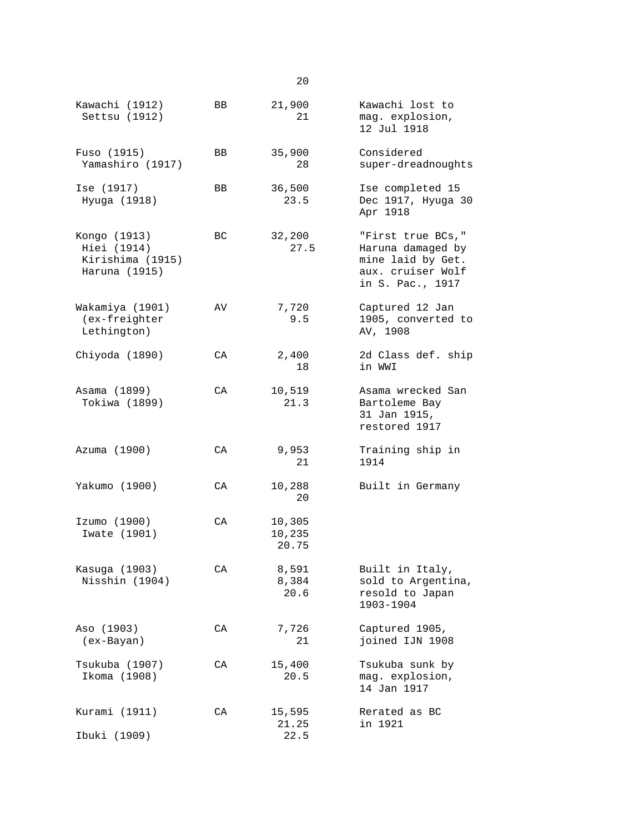| Kawachi (1912)<br>Settsu (1912)                                  | BB  | 21,900<br>21              | Kawachi lost to<br>mag. explosion,<br>12 Jul 1918                                                    |
|------------------------------------------------------------------|-----|---------------------------|------------------------------------------------------------------------------------------------------|
| Fuso (1915)<br>Yamashiro (1917)                                  | BB  | 35,900<br>28              | Considered<br>super-dreadnoughts                                                                     |
| Ise (1917)<br>Hyuga (1918)                                       | BB  | 36,500<br>23.5            | Ise completed 15<br>Dec 1917, Hyuga 30<br>Apr 1918                                                   |
| Kongo (1913)<br>Hiei (1914)<br>Kirishima (1915)<br>Haruna (1915) | BC  | 32,200<br>27.5            | "First true BCs,"<br>Haruna damaged by<br>mine laid by Get.<br>aux. cruiser Wolf<br>in S. Pac., 1917 |
| Wakamiya (1901)<br>(ex-freighter<br>Lethington)                  | AV  | 7,720<br>9.5              | Captured 12 Jan<br>1905, converted to<br>AV, 1908                                                    |
| Chiyoda (1890)                                                   | CA. | 2,400<br>18               | 2d Class def. ship<br>in WWI                                                                         |
| Asama (1899)<br>Tokiwa (1899)                                    | CA  | 10,519<br>21.3            | Asama wrecked San<br>Bartoleme Bay<br>31 Jan 1915,<br>restored 1917                                  |
| Azuma (1900)                                                     | CA  | 9,953<br>21               | Training ship in<br>1914                                                                             |
| Yakumo (1900)                                                    | CA. | 10,288<br>20              | Built in Germany                                                                                     |
| Izumo (1900)<br>Iwate (1901)                                     | СA  | 10,305<br>10,235<br>20.75 |                                                                                                      |
| Kasuga (1903)<br>Nisshin (1904)                                  | CA  | 8,591<br>8,384<br>20.6    | Built in Italy,<br>sold to Argentina,<br>resold to Japan<br>1903-1904                                |
| Aso (1903)<br>(ex-Bayan)                                         | СA  | 7,726<br>21               | Captured 1905,<br>joined IJN 1908                                                                    |
| Tsukuba (1907)<br>Ikoma (1908)                                   | CA  | 15,400<br>20.5            | Tsukuba sunk by<br>mag. explosion,<br>14 Jan 1917                                                    |
| Kurami (1911)<br>Ibuki (1909)                                    | CA  | 15,595<br>21.25<br>22.5   | Rerated as BC<br>in 1921                                                                             |

20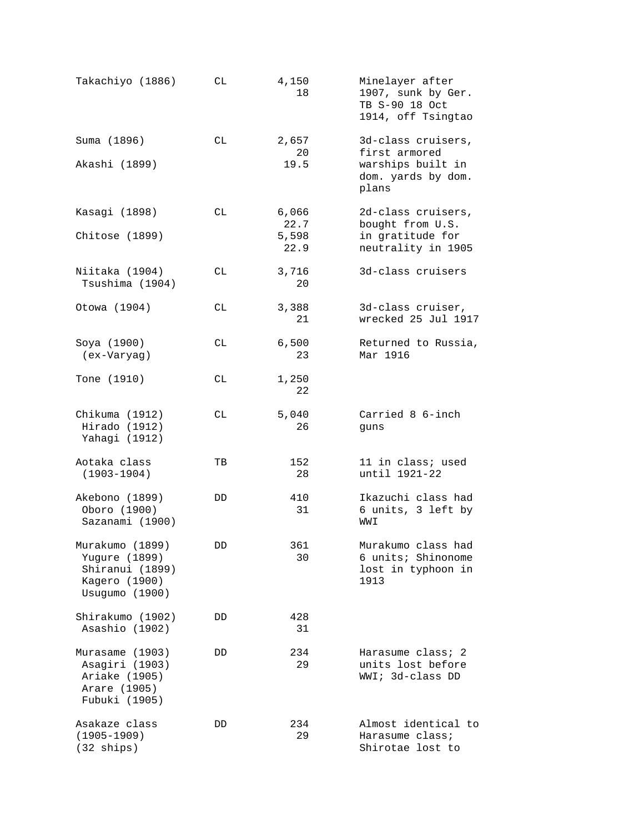| Takachiyo (1886)                                                                       | СL  | 4,150<br>18   | Minelayer after<br>1907, sunk by Ger.<br>TB S-90 18 Oct<br>1914, off Tsingtao |
|----------------------------------------------------------------------------------------|-----|---------------|-------------------------------------------------------------------------------|
| Suma (1896)                                                                            | СL  | 2,657<br>20   | 3d-class cruisers,<br>first armored                                           |
| Akashi (1899)                                                                          |     | 19.5          | warships built in<br>dom. yards by dom.<br>plans                              |
| Kasagi (1898)                                                                          | СL  | 6,066<br>22.7 | 2d-class cruisers,<br>bought from U.S.                                        |
| Chitose (1899)                                                                         |     | 5,598<br>22.9 | in gratitude for<br>neutrality in 1905                                        |
| Niitaka (1904)<br>Tsushima (1904)                                                      | СL  | 3,716<br>20   | 3d-class cruisers                                                             |
| Otowa (1904)                                                                           | СL  | 3,388<br>21   | 3d-class cruiser,<br>wrecked 25 Jul 1917                                      |
| Soya (1900)<br>(ex-Varyag)                                                             | CL. | 6,500<br>23   | Returned to Russia,<br>Mar 1916                                               |
| Tone (1910)                                                                            | СL  | 1,250<br>22   |                                                                               |
| Chikuma (1912)<br>Hirado (1912)<br>Yahagi (1912)                                       | СL  | 5,040<br>26   | Carried 8 6-inch<br>guns                                                      |
| Aotaka class<br>$(1903 - 1904)$                                                        | TВ  | 152<br>28     | 11 in class; used<br>until 1921-22                                            |
| Akebono (1899)<br>Oboro (1900)<br>Sazanami (1900)                                      | DD  | 410<br>31     | Ikazuchi class had<br>6 units, 3 left by<br>WWI                               |
| Murakumo (1899)<br>Yugure (1899)<br>Shiranui (1899)<br>Kagero (1900)<br>Usugumo (1900) | DD  | 361<br>30     | Murakumo class had<br>6 units; Shinonome<br>lost in typhoon in<br>1913        |
| Shirakumo (1902)<br>Asashio (1902)                                                     | DD  | 428<br>31     |                                                                               |
| Murasame (1903)<br>Asagiri (1903)<br>Ariake (1905)<br>Arare (1905)<br>Fubuki (1905)    | DD  | 234<br>29     | Harasume class; 2<br>units lost before<br>WWI; 3d-class DD                    |
| Asakaze class<br>$(1905 - 1909)$<br>$(32 \text{ ships})$                               | DD  | 234<br>29     | Almost identical to<br>Harasume class;<br>Shirotae lost to                    |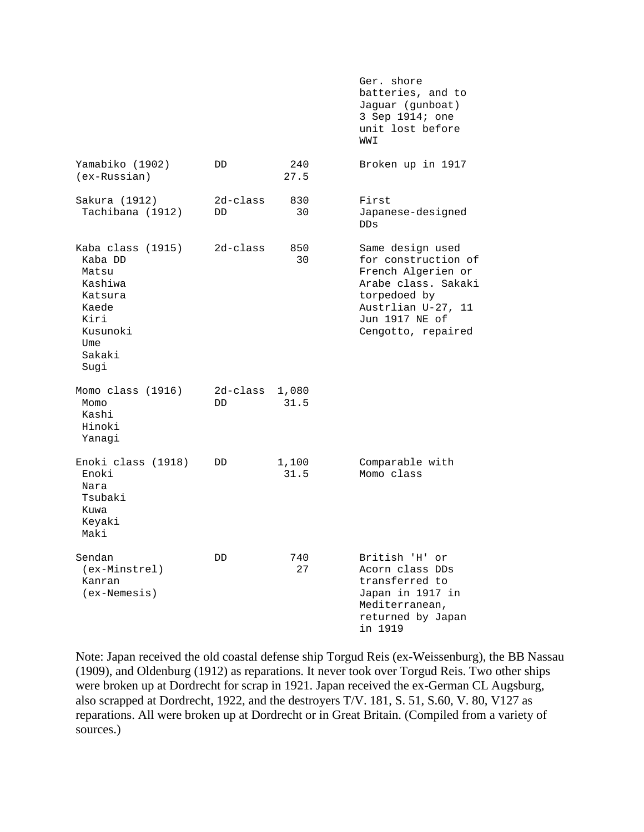|                                                                                                                   |                 |               | batteries, and to<br>Jaguar (gunboat)<br>3 Sep 1914; one<br>unit lost before<br>WWI                                                                                |
|-------------------------------------------------------------------------------------------------------------------|-----------------|---------------|--------------------------------------------------------------------------------------------------------------------------------------------------------------------|
| Yamabiko (1902)<br>$(ex-Russian)$                                                                                 | DD.             | 240<br>27.5   | Broken up in 1917                                                                                                                                                  |
| Sakura (1912)<br>Tachibana (1912)                                                                                 | 2d-class<br>DD. | 830<br>30     | First<br>Japanese-designed<br><b>DDs</b>                                                                                                                           |
| Kaba class (1915)<br>Kaba DD<br>Matsu<br>Kashiwa<br>Katsura<br>Kaede<br>Kiri<br>Kusunoki<br>Ume<br>Sakaki<br>Sugi | $2d$ -class     | 850<br>30     | Same design used<br>for construction of<br>French Algerien or<br>Arabe class. Sakaki<br>torpedoed by<br>Austrlian U-27, 11<br>Jun 1917 NE of<br>Cengotto, repaired |
| Momo class (1916)<br>Momo<br>Kashi<br>Hinoki<br>Yanagi                                                            | 2d-class<br>DD. | 1,080<br>31.5 |                                                                                                                                                                    |
| Enoki class (1918)<br>Enoki<br>Nara<br>Tsubaki<br>Kuwa<br>Keyaki<br>Maki                                          | DD.             | 1,100<br>31.5 | Comparable with<br>Momo class                                                                                                                                      |
| Sendan<br>(ex-Minstrel)<br>Kanran<br>$(ex-Nemesis)$                                                               | DD              | 740<br>27     | British 'H' or<br>Acorn class DDs<br>transferred to<br>Japan in 1917 in<br>Mediterranean,<br>returned by Japan<br>in 1919                                          |

Ger. shore

Note: Japan received the old coastal defense ship Torgud Reis (ex-Weissenburg), the BB Nassau (1909), and Oldenburg (1912) as reparations. It never took over Torgud Reis. Two other ships were broken up at Dordrecht for scrap in 1921. Japan received the ex-German CL Augsburg, also scrapped at Dordrecht, 1922, and the destroyers T/V. 181, S. 51, S.60, V. 80, V127 as reparations. All were broken up at Dordrecht or in Great Britain. (Compiled from a variety of sources.)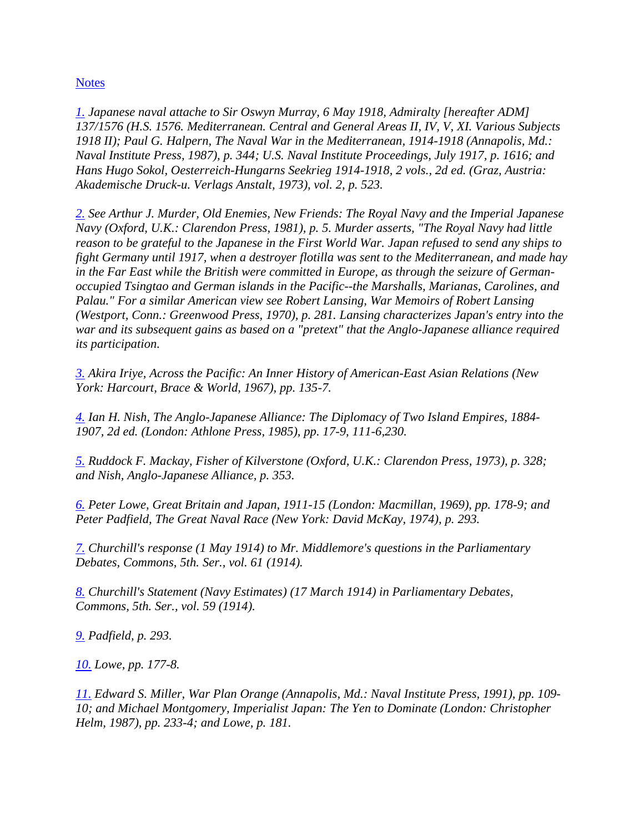**[Notes](http://web.ebscohost.com/ehost/delivery?vid=5&hid=9&sid=020941e6-c148-4c15-a8af-fde9609c5d1c%40sessionmgr10#toc)** 

*[1.](http://web.ebscohost.com/ehost/delivery?vid=5&hid=9&sid=020941e6-c148-4c15-a8af-fde9609c5d1c%40sessionmgr10#bib1up) Japanese naval attache to Sir Oswyn Murray, 6 May 1918, Admiralty [hereafter ADM] 137/1576 (H.S. 1576. Mediterranean. Central and General Areas II, IV, V, XI. Various Subjects 1918 II); Paul G. Halpern, The Naval War in the Mediterranean, 1914-1918 (Annapolis, Md.: Naval Institute Press, 1987), p. 344; U.S. Naval Institute Proceedings, July 1917, p. 1616; and Hans Hugo Sokol, Oesterreich-Hungarns Seekrieg 1914-1918, 2 vols., 2d ed. (Graz, Austria: Akademische Druck-u. Verlags Anstalt, 1973), vol. 2, p. 523.* 

*[2.](http://web.ebscohost.com/ehost/delivery?vid=5&hid=9&sid=020941e6-c148-4c15-a8af-fde9609c5d1c%40sessionmgr10#bib2up) See Arthur J. Murder, Old Enemies, New Friends: The Royal Navy and the Imperial Japanese Navy (Oxford, U.K.: Clarendon Press, 1981), p. 5. Murder asserts, "The Royal Navy had little reason to be grateful to the Japanese in the First World War. Japan refused to send any ships to fight Germany until 1917, when a destroyer flotilla was sent to the Mediterranean, and made hay in the Far East while the British were committed in Europe, as through the seizure of Germanoccupied Tsingtao and German islands in the Pacific--the Marshalls, Marianas, Carolines, and Palau." For a similar American view see Robert Lansing, War Memoirs of Robert Lansing (Westport, Conn.: Greenwood Press, 1970), p. 281. Lansing characterizes Japan's entry into the war and its subsequent gains as based on a "pretext" that the Anglo-Japanese alliance required its participation.* 

*[3.](http://web.ebscohost.com/ehost/delivery?vid=5&hid=9&sid=020941e6-c148-4c15-a8af-fde9609c5d1c%40sessionmgr10#bib3up) Akira Iriye, Across the Pacific: An Inner History of American-East Asian Relations (New York: Harcourt, Brace & World, 1967), pp. 135-7.* 

*[4.](http://web.ebscohost.com/ehost/delivery?vid=5&hid=9&sid=020941e6-c148-4c15-a8af-fde9609c5d1c%40sessionmgr10#bib4up) Ian H. Nish, The Anglo-Japanese Alliance: The Diplomacy of Two Island Empires, 1884- 1907, 2d ed. (London: Athlone Press, 1985), pp. 17-9, 111-6,230.* 

*[5.](http://web.ebscohost.com/ehost/delivery?vid=5&hid=9&sid=020941e6-c148-4c15-a8af-fde9609c5d1c%40sessionmgr10#bib5up) Ruddock F. Mackay, Fisher of Kilverstone (Oxford, U.K.: Clarendon Press, 1973), p. 328; and Nish, Anglo-Japanese Alliance, p. 353.* 

*[6.](http://web.ebscohost.com/ehost/delivery?vid=5&hid=9&sid=020941e6-c148-4c15-a8af-fde9609c5d1c%40sessionmgr10#bib6up) Peter Lowe, Great Britain and Japan, 1911-15 (London: Macmillan, 1969), pp. 178-9; and Peter Padfield, The Great Naval Race (New York: David McKay, 1974), p. 293.* 

*[7.](http://web.ebscohost.com/ehost/delivery?vid=5&hid=9&sid=020941e6-c148-4c15-a8af-fde9609c5d1c%40sessionmgr10#bib7up) Churchill's response (1 May 1914) to Mr. Middlemore's questions in the Parliamentary Debates, Commons, 5th. Ser., vol. 61 (1914).* 

*[8.](http://web.ebscohost.com/ehost/delivery?vid=5&hid=9&sid=020941e6-c148-4c15-a8af-fde9609c5d1c%40sessionmgr10#bib8up) Churchill's Statement (Navy Estimates) (17 March 1914) in Parliamentary Debates, Commons, 5th. Ser., vol. 59 (1914).* 

*[9.](http://web.ebscohost.com/ehost/delivery?vid=5&hid=9&sid=020941e6-c148-4c15-a8af-fde9609c5d1c%40sessionmgr10#bib9up) Padfield, p. 293.* 

*[10.](http://web.ebscohost.com/ehost/delivery?vid=5&hid=9&sid=020941e6-c148-4c15-a8af-fde9609c5d1c%40sessionmgr10#bib10up) Lowe, pp. 177-8.* 

*[11.](http://web.ebscohost.com/ehost/delivery?vid=5&hid=9&sid=020941e6-c148-4c15-a8af-fde9609c5d1c%40sessionmgr10#bib11up) Edward S. Miller, War Plan Orange (Annapolis, Md.: Naval Institute Press, 1991), pp. 109- 10; and Michael Montgomery, Imperialist Japan: The Yen to Dominate (London: Christopher Helm, 1987), pp. 233-4; and Lowe, p. 181.*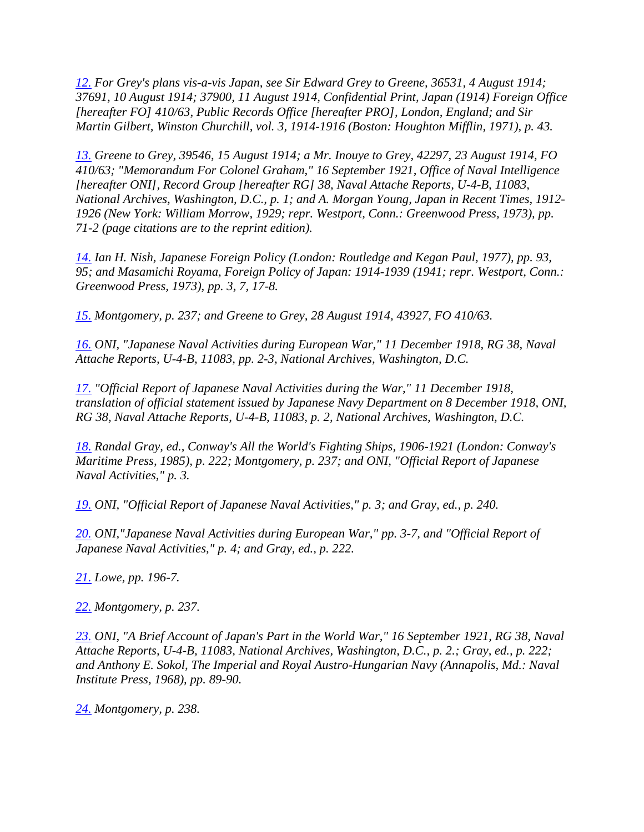*[12.](http://web.ebscohost.com/ehost/delivery?vid=5&hid=9&sid=020941e6-c148-4c15-a8af-fde9609c5d1c%40sessionmgr10#bib12up) For Grey's plans vis-a-vis Japan, see Sir Edward Grey to Greene, 36531, 4 August 1914; 37691, 10 August 1914; 37900, 11 August 1914, Confidential Print, Japan (1914) Foreign Office [hereafter FO] 410/63, Public Records Office [hereafter PRO], London, England; and Sir Martin Gilbert, Winston Churchill, vol. 3, 1914-1916 (Boston: Houghton Mifflin, 1971), p. 43.* 

*[13.](http://web.ebscohost.com/ehost/delivery?vid=5&hid=9&sid=020941e6-c148-4c15-a8af-fde9609c5d1c%40sessionmgr10#bib13up) Greene to Grey, 39546, 15 August 1914; a Mr. Inouye to Grey, 42297, 23 August 1914, FO 410/63; "Memorandum For Colonel Graham," 16 September 1921, Office of Naval Intelligence [hereafter ONI], Record Group [hereafter RG] 38, Naval Attache Reports, U-4-B, 11083, National Archives, Washington, D.C., p. 1; and A. Morgan Young, Japan in Recent Times, 1912- 1926 (New York: William Morrow, 1929; repr. Westport, Conn.: Greenwood Press, 1973), pp. 71-2 (page citations are to the reprint edition).* 

*[14.](http://web.ebscohost.com/ehost/delivery?vid=5&hid=9&sid=020941e6-c148-4c15-a8af-fde9609c5d1c%40sessionmgr10#bib14up) Ian H. Nish, Japanese Foreign Policy (London: Routledge and Kegan Paul, 1977), pp. 93, 95; and Masamichi Royama, Foreign Policy of Japan: 1914-1939 (1941; repr. Westport, Conn.: Greenwood Press, 1973), pp. 3, 7, 17-8.* 

*[15.](http://web.ebscohost.com/ehost/delivery?vid=5&hid=9&sid=020941e6-c148-4c15-a8af-fde9609c5d1c%40sessionmgr10#bib15up) Montgomery, p. 237; and Greene to Grey, 28 August 1914, 43927, FO 410/63.* 

*[16.](http://web.ebscohost.com/ehost/delivery?vid=5&hid=9&sid=020941e6-c148-4c15-a8af-fde9609c5d1c%40sessionmgr10#bib16up) ONI, "Japanese Naval Activities during European War," 11 December 1918, RG 38, Naval Attache Reports, U-4-B, 11083, pp. 2-3, National Archives, Washington, D.C.* 

*[17.](http://web.ebscohost.com/ehost/delivery?vid=5&hid=9&sid=020941e6-c148-4c15-a8af-fde9609c5d1c%40sessionmgr10#bib17up) "Official Report of Japanese Naval Activities during the War," 11 December 1918, translation of official statement issued by Japanese Navy Department on 8 December 1918, ONI, RG 38, Naval Attache Reports, U-4-B, 11083, p. 2, National Archives, Washington, D.C.* 

*[18.](http://web.ebscohost.com/ehost/delivery?vid=5&hid=9&sid=020941e6-c148-4c15-a8af-fde9609c5d1c%40sessionmgr10#bib18up) Randal Gray, ed., Conway's All the World's Fighting Ships, 1906-1921 (London: Conway's Maritime Press, 1985), p. 222; Montgomery, p. 237; and ONI, "Official Report of Japanese Naval Activities," p. 3.* 

*[19.](http://web.ebscohost.com/ehost/delivery?vid=5&hid=9&sid=020941e6-c148-4c15-a8af-fde9609c5d1c%40sessionmgr10#bib19up) ONI, "Official Report of Japanese Naval Activities," p. 3; and Gray, ed., p. 240.* 

*[20.](http://web.ebscohost.com/ehost/delivery?vid=5&hid=9&sid=020941e6-c148-4c15-a8af-fde9609c5d1c%40sessionmgr10#bib20up) ONI,"Japanese Naval Activities during European War," pp. 3-7, and "Official Report of Japanese Naval Activities," p. 4; and Gray, ed., p. 222.* 

*[21.](http://web.ebscohost.com/ehost/delivery?vid=5&hid=9&sid=020941e6-c148-4c15-a8af-fde9609c5d1c%40sessionmgr10#bib21up) Lowe, pp. 196-7.* 

*[22.](http://web.ebscohost.com/ehost/delivery?vid=5&hid=9&sid=020941e6-c148-4c15-a8af-fde9609c5d1c%40sessionmgr10#bib22up) Montgomery, p. 237.* 

*[23.](http://web.ebscohost.com/ehost/delivery?vid=5&hid=9&sid=020941e6-c148-4c15-a8af-fde9609c5d1c%40sessionmgr10#bib23up) ONI, "A Brief Account of Japan's Part in the World War," 16 September 1921, RG 38, Naval Attache Reports, U-4-B, 11083, National Archives, Washington, D.C., p. 2.; Gray, ed., p. 222; and Anthony E. Sokol, The Imperial and Royal Austro-Hungarian Navy (Annapolis, Md.: Naval Institute Press, 1968), pp. 89-90.* 

*[24.](http://web.ebscohost.com/ehost/delivery?vid=5&hid=9&sid=020941e6-c148-4c15-a8af-fde9609c5d1c%40sessionmgr10#bib24up) Montgomery, p. 238.*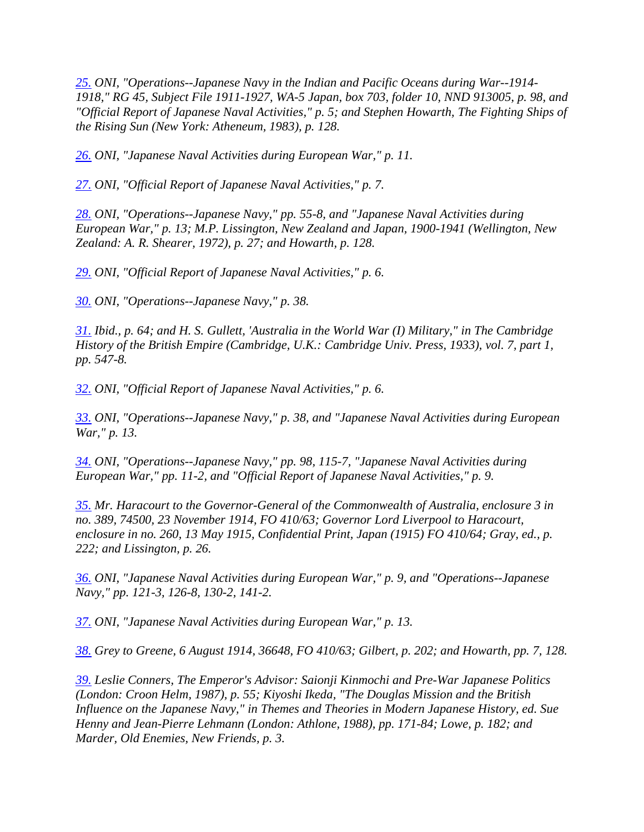*[25.](http://web.ebscohost.com/ehost/delivery?vid=5&hid=9&sid=020941e6-c148-4c15-a8af-fde9609c5d1c%40sessionmgr10#bib25up) ONI, "Operations--Japanese Navy in the Indian and Pacific Oceans during War--1914- 1918," RG 45, Subject File 1911-1927, WA-5 Japan, box 703, folder 10, NND 913005, p. 98, and "Official Report of Japanese Naval Activities," p. 5; and Stephen Howarth, The Fighting Ships of the Rising Sun (New York: Atheneum, 1983), p. 128.* 

*[26.](http://web.ebscohost.com/ehost/delivery?vid=5&hid=9&sid=020941e6-c148-4c15-a8af-fde9609c5d1c%40sessionmgr10#bib26up) ONI, "Japanese Naval Activities during European War," p. 11.* 

*[27.](http://web.ebscohost.com/ehost/delivery?vid=5&hid=9&sid=020941e6-c148-4c15-a8af-fde9609c5d1c%40sessionmgr10#bib27up) ONI, "Official Report of Japanese Naval Activities," p. 7.* 

*[28.](http://web.ebscohost.com/ehost/delivery?vid=5&hid=9&sid=020941e6-c148-4c15-a8af-fde9609c5d1c%40sessionmgr10#bib28up) ONI, "Operations--Japanese Navy," pp. 55-8, and "Japanese Naval Activities during European War," p. 13; M.P. Lissington, New Zealand and Japan, 1900-1941 (Wellington, New Zealand: A. R. Shearer, 1972), p. 27; and Howarth, p. 128.* 

*[29.](http://web.ebscohost.com/ehost/delivery?vid=5&hid=9&sid=020941e6-c148-4c15-a8af-fde9609c5d1c%40sessionmgr10#bib29up) ONI, "Official Report of Japanese Naval Activities," p. 6.* 

*[30.](http://web.ebscohost.com/ehost/delivery?vid=5&hid=9&sid=020941e6-c148-4c15-a8af-fde9609c5d1c%40sessionmgr10#bib30up) ONI, "Operations--Japanese Navy," p. 38.* 

*[31.](http://web.ebscohost.com/ehost/delivery?vid=5&hid=9&sid=020941e6-c148-4c15-a8af-fde9609c5d1c%40sessionmgr10#bib31up) Ibid., p. 64; and H. S. Gullett, 'Australia in the World War (I) Military," in The Cambridge History of the British Empire (Cambridge, U.K.: Cambridge Univ. Press, 1933), vol. 7, part 1, pp. 547-8.* 

*[32.](http://web.ebscohost.com/ehost/delivery?vid=5&hid=9&sid=020941e6-c148-4c15-a8af-fde9609c5d1c%40sessionmgr10#bib32up) ONI, "Official Report of Japanese Naval Activities," p. 6.* 

*[33.](http://web.ebscohost.com/ehost/delivery?vid=5&hid=9&sid=020941e6-c148-4c15-a8af-fde9609c5d1c%40sessionmgr10#bib33up) ONI, "Operations--Japanese Navy," p. 38, and "Japanese Naval Activities during European War," p. 13.* 

*[34.](http://web.ebscohost.com/ehost/delivery?vid=5&hid=9&sid=020941e6-c148-4c15-a8af-fde9609c5d1c%40sessionmgr10#bib34up) ONI, "Operations--Japanese Navy," pp. 98, 115-7, "Japanese Naval Activities during European War," pp. 11-2, and "Official Report of Japanese Naval Activities," p. 9.* 

*[35.](http://web.ebscohost.com/ehost/delivery?vid=5&hid=9&sid=020941e6-c148-4c15-a8af-fde9609c5d1c%40sessionmgr10#bib35up) Mr. Haracourt to the Governor-General of the Commonwealth of Australia, enclosure 3 in no. 389, 74500, 23 November 1914, FO 410/63; Governor Lord Liverpool to Haracourt, enclosure in no. 260, 13 May 1915, Confidential Print, Japan (1915) FO 410/64; Gray, ed., p. 222; and Lissington, p. 26.* 

*[36.](http://web.ebscohost.com/ehost/delivery?vid=5&hid=9&sid=020941e6-c148-4c15-a8af-fde9609c5d1c%40sessionmgr10#bib36up) ONI, "Japanese Naval Activities during European War," p. 9, and "Operations--Japanese Navy," pp. 121-3, 126-8, 130-2, 141-2.* 

*[37.](http://web.ebscohost.com/ehost/delivery?vid=5&hid=9&sid=020941e6-c148-4c15-a8af-fde9609c5d1c%40sessionmgr10#bib37up) ONI, "Japanese Naval Activities during European War," p. 13.* 

*[38.](http://web.ebscohost.com/ehost/delivery?vid=5&hid=9&sid=020941e6-c148-4c15-a8af-fde9609c5d1c%40sessionmgr10#bib38up) Grey to Greene, 6 August 1914, 36648, FO 410/63; Gilbert, p. 202; and Howarth, pp. 7, 128.* 

*[39.](http://web.ebscohost.com/ehost/delivery?vid=5&hid=9&sid=020941e6-c148-4c15-a8af-fde9609c5d1c%40sessionmgr10#bib39up) Leslie Conners, The Emperor's Advisor: Saionji Kinmochi and Pre-War Japanese Politics (London: Croon Helm, 1987), p. 55; Kiyoshi Ikeda, "The Douglas Mission and the British Influence on the Japanese Navy," in Themes and Theories in Modern Japanese History, ed. Sue Henny and Jean-Pierre Lehmann (London: Athlone, 1988), pp. 171-84; Lowe, p. 182; and Marder, Old Enemies, New Friends, p. 3.*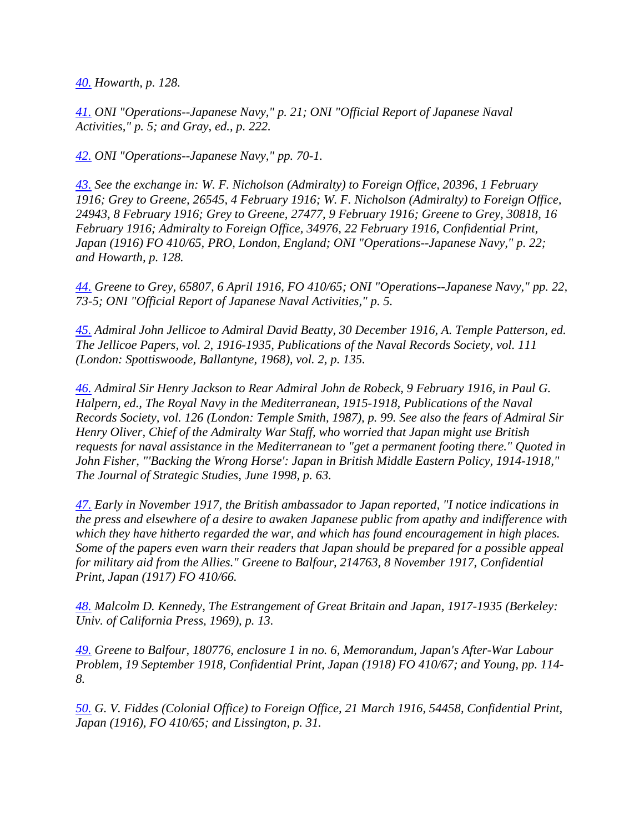*[40.](http://web.ebscohost.com/ehost/delivery?vid=5&hid=9&sid=020941e6-c148-4c15-a8af-fde9609c5d1c%40sessionmgr10#bib40up) Howarth, p. 128.* 

*[41.](http://web.ebscohost.com/ehost/delivery?vid=5&hid=9&sid=020941e6-c148-4c15-a8af-fde9609c5d1c%40sessionmgr10#bib41up) ONI "Operations--Japanese Navy," p. 21; ONI "Official Report of Japanese Naval Activities," p. 5; and Gray, ed., p. 222.* 

*[42.](http://web.ebscohost.com/ehost/delivery?vid=5&hid=9&sid=020941e6-c148-4c15-a8af-fde9609c5d1c%40sessionmgr10#bib42up) ONI "Operations--Japanese Navy," pp. 70-1.* 

*[43.](http://web.ebscohost.com/ehost/delivery?vid=5&hid=9&sid=020941e6-c148-4c15-a8af-fde9609c5d1c%40sessionmgr10#bib43up) See the exchange in: W. F. Nicholson (Admiralty) to Foreign Office, 20396, 1 February 1916; Grey to Greene, 26545, 4 February 1916; W. F. Nicholson (Admiralty) to Foreign Office, 24943, 8 February 1916; Grey to Greene, 27477, 9 February 1916; Greene to Grey, 30818, 16 February 1916; Admiralty to Foreign Office, 34976, 22 February 1916, Confidential Print, Japan (1916) FO 410/65, PRO, London, England; ONI "Operations--Japanese Navy," p. 22; and Howarth, p. 128.* 

*[44.](http://web.ebscohost.com/ehost/delivery?vid=5&hid=9&sid=020941e6-c148-4c15-a8af-fde9609c5d1c%40sessionmgr10#bib44up) Greene to Grey, 65807, 6 April 1916, FO 410/65; ONI "Operations--Japanese Navy," pp. 22, 73-5; ONI "Official Report of Japanese Naval Activities," p. 5.* 

*[45.](http://web.ebscohost.com/ehost/delivery?vid=5&hid=9&sid=020941e6-c148-4c15-a8af-fde9609c5d1c%40sessionmgr10#bib45up) Admiral John Jellicoe to Admiral David Beatty, 30 December 1916, A. Temple Patterson, ed. The Jellicoe Papers, vol. 2, 1916-1935, Publications of the Naval Records Society, vol. 111 (London: Spottiswoode, Ballantyne, 1968), vol. 2, p. 135.* 

*[46.](http://web.ebscohost.com/ehost/delivery?vid=5&hid=9&sid=020941e6-c148-4c15-a8af-fde9609c5d1c%40sessionmgr10#bib46up) Admiral Sir Henry Jackson to Rear Admiral John de Robeck, 9 February 1916, in Paul G. Halpern, ed., The Royal Navy in the Mediterranean, 1915-1918, Publications of the Naval Records Society, vol. 126 (London: Temple Smith, 1987), p. 99. See also the fears of Admiral Sir Henry Oliver, Chief of the Admiralty War Staff, who worried that Japan might use British requests for naval assistance in the Mediterranean to "get a permanent footing there." Quoted in John Fisher, "'Backing the Wrong Horse': Japan in British Middle Eastern Policy, 1914-1918," The Journal of Strategic Studies, June 1998, p. 63.* 

*[47.](http://web.ebscohost.com/ehost/delivery?vid=5&hid=9&sid=020941e6-c148-4c15-a8af-fde9609c5d1c%40sessionmgr10#bib47up) Early in November 1917, the British ambassador to Japan reported, "I notice indications in the press and elsewhere of a desire to awaken Japanese public from apathy and indifference with which they have hitherto regarded the war, and which has found encouragement in high places. Some of the papers even warn their readers that Japan should be prepared for a possible appeal for military aid from the Allies." Greene to Balfour, 214763, 8 November 1917, Confidential Print, Japan (1917) FO 410/66.* 

*[48.](http://web.ebscohost.com/ehost/delivery?vid=5&hid=9&sid=020941e6-c148-4c15-a8af-fde9609c5d1c%40sessionmgr10#bib48up) Malcolm D. Kennedy, The Estrangement of Great Britain and Japan, 1917-1935 (Berkeley: Univ. of California Press, 1969), p. 13.* 

*[49.](http://web.ebscohost.com/ehost/delivery?vid=5&hid=9&sid=020941e6-c148-4c15-a8af-fde9609c5d1c%40sessionmgr10#bib49up) Greene to Balfour, 180776, enclosure 1 in no. 6, Memorandum, Japan's After-War Labour Problem, 19 September 1918, Confidential Print, Japan (1918) FO 410/67; and Young, pp. 114- 8.* 

*[50.](http://web.ebscohost.com/ehost/delivery?vid=5&hid=9&sid=020941e6-c148-4c15-a8af-fde9609c5d1c%40sessionmgr10#bib50up) G. V. Fiddes (Colonial Office) to Foreign Office, 21 March 1916, 54458, Confidential Print, Japan (1916), FO 410/65; and Lissington, p. 31.*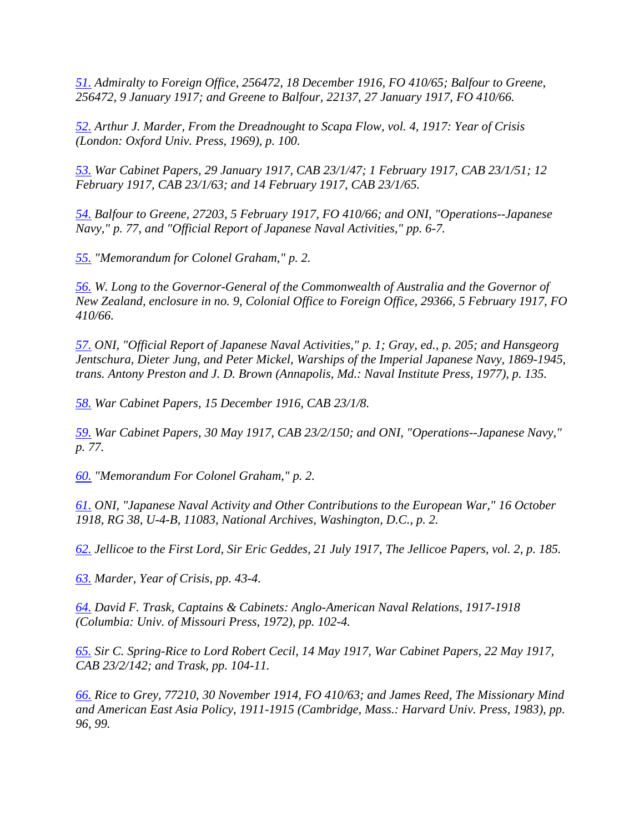*[51.](http://web.ebscohost.com/ehost/delivery?vid=5&hid=9&sid=020941e6-c148-4c15-a8af-fde9609c5d1c%40sessionmgr10#bib51up) Admiralty to Foreign Office, 256472, 18 December 1916, FO 410/65; Balfour to Greene, 256472, 9 January 1917; and Greene to Balfour, 22137, 27 January 1917, FO 410/66.* 

*[52.](http://web.ebscohost.com/ehost/delivery?vid=5&hid=9&sid=020941e6-c148-4c15-a8af-fde9609c5d1c%40sessionmgr10#bib52up) Arthur J. Marder, From the Dreadnought to Scapa Flow, vol. 4, 1917: Year of Crisis (London: Oxford Univ. Press, 1969), p. 100.* 

*[53.](http://web.ebscohost.com/ehost/delivery?vid=5&hid=9&sid=020941e6-c148-4c15-a8af-fde9609c5d1c%40sessionmgr10#bib53up) War Cabinet Papers, 29 January 1917, CAB 23/1/47; 1 February 1917, CAB 23/1/51; 12 February 1917, CAB 23/1/63; and 14 February 1917, CAB 23/1/65.* 

*[54.](http://web.ebscohost.com/ehost/delivery?vid=5&hid=9&sid=020941e6-c148-4c15-a8af-fde9609c5d1c%40sessionmgr10#bib54up) Balfour to Greene, 27203, 5 February 1917, FO 410/66; and ONI, "Operations--Japanese Navy," p. 77, and "Official Report of Japanese Naval Activities," pp. 6-7.* 

*[55.](http://web.ebscohost.com/ehost/delivery?vid=5&hid=9&sid=020941e6-c148-4c15-a8af-fde9609c5d1c%40sessionmgr10#bib55up) "Memorandum for Colonel Graham," p. 2.* 

*[56.](http://web.ebscohost.com/ehost/delivery?vid=5&hid=9&sid=020941e6-c148-4c15-a8af-fde9609c5d1c%40sessionmgr10#bib56up) W. Long to the Governor-General of the Commonwealth of Australia and the Governor of New Zealand, enclosure in no. 9, Colonial Office to Foreign Office, 29366, 5 February 1917, FO 410/66.* 

*[57.](http://web.ebscohost.com/ehost/delivery?vid=5&hid=9&sid=020941e6-c148-4c15-a8af-fde9609c5d1c%40sessionmgr10#bib57up) ONI, "Official Report of Japanese Naval Activities," p. 1; Gray, ed., p. 205; and Hansgeorg Jentschura, Dieter Jung, and Peter Mickel, Warships of the Imperial Japanese Navy, 1869-1945, trans. Antony Preston and J. D. Brown (Annapolis, Md.: Naval Institute Press, 1977), p. 135.* 

*[58.](http://web.ebscohost.com/ehost/delivery?vid=5&hid=9&sid=020941e6-c148-4c15-a8af-fde9609c5d1c%40sessionmgr10#bib58up) War Cabinet Papers, 15 December 1916, CAB 23/1/8.* 

*[59.](http://web.ebscohost.com/ehost/delivery?vid=5&hid=9&sid=020941e6-c148-4c15-a8af-fde9609c5d1c%40sessionmgr10#bib59up) War Cabinet Papers, 30 May 1917, CAB 23/2/150; and ONI, "Operations--Japanese Navy," p. 77.* 

*[60.](http://web.ebscohost.com/ehost/delivery?vid=5&hid=9&sid=020941e6-c148-4c15-a8af-fde9609c5d1c%40sessionmgr10#bib60up) "Memorandum For Colonel Graham," p. 2.* 

*[61.](http://web.ebscohost.com/ehost/delivery?vid=5&hid=9&sid=020941e6-c148-4c15-a8af-fde9609c5d1c%40sessionmgr10#bib61up) ONI, "Japanese Naval Activity and Other Contributions to the European War," 16 October 1918, RG 38, U-4-B, 11083, National Archives, Washington, D.C., p. 2.* 

*[62.](http://web.ebscohost.com/ehost/delivery?vid=5&hid=9&sid=020941e6-c148-4c15-a8af-fde9609c5d1c%40sessionmgr10#bib62up) Jellicoe to the First Lord, Sir Eric Geddes, 21 July 1917, The Jellicoe Papers, vol. 2, p. 185.* 

*[63.](http://web.ebscohost.com/ehost/delivery?vid=5&hid=9&sid=020941e6-c148-4c15-a8af-fde9609c5d1c%40sessionmgr10#bib63up) Marder, Year of Crisis, pp. 43-4.* 

*[64.](http://web.ebscohost.com/ehost/delivery?vid=5&hid=9&sid=020941e6-c148-4c15-a8af-fde9609c5d1c%40sessionmgr10#bib64up) David F. Trask, Captains & Cabinets: Anglo-American Naval Relations, 1917-1918 (Columbia: Univ. of Missouri Press, 1972), pp. 102-4.* 

*[65.](http://web.ebscohost.com/ehost/delivery?vid=5&hid=9&sid=020941e6-c148-4c15-a8af-fde9609c5d1c%40sessionmgr10#bib65up) Sir C. Spring-Rice to Lord Robert Cecil, 14 May 1917, War Cabinet Papers, 22 May 1917, CAB 23/2/142; and Trask, pp. 104-11.* 

*[66.](http://web.ebscohost.com/ehost/delivery?vid=5&hid=9&sid=020941e6-c148-4c15-a8af-fde9609c5d1c%40sessionmgr10#bib66up) Rice to Grey, 77210, 30 November 1914, FO 410/63; and James Reed, The Missionary Mind and American East Asia Policy, 1911-1915 (Cambridge, Mass.: Harvard Univ. Press, 1983), pp. 96, 99.*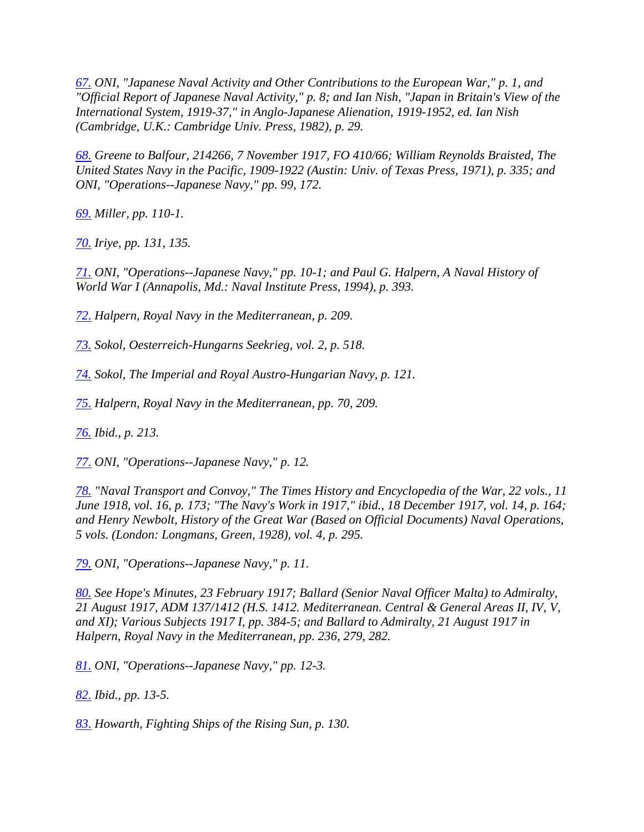*[67.](http://web.ebscohost.com/ehost/delivery?vid=5&hid=9&sid=020941e6-c148-4c15-a8af-fde9609c5d1c%40sessionmgr10#bib67up) ONI, "Japanese Naval Activity and Other Contributions to the European War," p. 1, and "Official Report of Japanese Naval Activity," p. 8; and Ian Nish, "Japan in Britain's View of the International System, 1919-37," in Anglo-Japanese Alienation, 1919-1952, ed. Ian Nish (Cambridge, U.K.: Cambridge Univ. Press, 1982), p. 29.* 

*[68.](http://web.ebscohost.com/ehost/delivery?vid=5&hid=9&sid=020941e6-c148-4c15-a8af-fde9609c5d1c%40sessionmgr10#bib68up) Greene to Balfour, 214266, 7 November 1917, FO 410/66; William Reynolds Braisted, The United States Navy in the Pacific, 1909-1922 (Austin: Univ. of Texas Press, 1971), p. 335; and ONI, "Operations--Japanese Navy," pp. 99, 172.* 

*[69.](http://web.ebscohost.com/ehost/delivery?vid=5&hid=9&sid=020941e6-c148-4c15-a8af-fde9609c5d1c%40sessionmgr10#bib69up) Miller, pp. 110-1.* 

*[70.](http://web.ebscohost.com/ehost/delivery?vid=5&hid=9&sid=020941e6-c148-4c15-a8af-fde9609c5d1c%40sessionmgr10#bib70up) Iriye, pp. 131, 135.* 

*[71.](http://web.ebscohost.com/ehost/delivery?vid=5&hid=9&sid=020941e6-c148-4c15-a8af-fde9609c5d1c%40sessionmgr10#bib71up) ONI, "Operations--Japanese Navy," pp. 10-1; and Paul G. Halpern, A Naval History of World War I (Annapolis, Md.: Naval Institute Press, 1994), p. 393.* 

*[72.](http://web.ebscohost.com/ehost/delivery?vid=5&hid=9&sid=020941e6-c148-4c15-a8af-fde9609c5d1c%40sessionmgr10#bib72up) Halpern, Royal Navy in the Mediterranean, p. 209.* 

*[73.](http://web.ebscohost.com/ehost/delivery?vid=5&hid=9&sid=020941e6-c148-4c15-a8af-fde9609c5d1c%40sessionmgr10#bib73up) Sokol, Oesterreich-Hungarns Seekrieg, vol. 2, p. 518.* 

*[74.](http://web.ebscohost.com/ehost/delivery?vid=5&hid=9&sid=020941e6-c148-4c15-a8af-fde9609c5d1c%40sessionmgr10#bib74up) Sokol, The Imperial and Royal Austro-Hungarian Navy, p. 121.* 

*[75.](http://web.ebscohost.com/ehost/delivery?vid=5&hid=9&sid=020941e6-c148-4c15-a8af-fde9609c5d1c%40sessionmgr10#bib75up) Halpern, Royal Navy in the Mediterranean, pp. 70, 209.* 

*[76.](http://web.ebscohost.com/ehost/delivery?vid=5&hid=9&sid=020941e6-c148-4c15-a8af-fde9609c5d1c%40sessionmgr10#bib76up) Ibid., p. 213.* 

*[77.](http://web.ebscohost.com/ehost/delivery?vid=5&hid=9&sid=020941e6-c148-4c15-a8af-fde9609c5d1c%40sessionmgr10#bib77up) ONI, "Operations--Japanese Navy," p. 12.* 

*[78.](http://web.ebscohost.com/ehost/delivery?vid=5&hid=9&sid=020941e6-c148-4c15-a8af-fde9609c5d1c%40sessionmgr10#bib78up) "Naval Transport and Convoy," The Times History and Encyclopedia of the War, 22 vols., 11 June 1918, vol. 16, p. 173; "The Navy's Work in 1917," ibid., 18 December 1917, vol. 14, p. 164; and Henry Newbolt, History of the Great War (Based on Official Documents) Naval Operations, 5 vols. (London: Longmans, Green, 1928), vol. 4, p. 295.* 

*[79.](http://web.ebscohost.com/ehost/delivery?vid=5&hid=9&sid=020941e6-c148-4c15-a8af-fde9609c5d1c%40sessionmgr10#bib79up) ONI, "Operations--Japanese Navy," p. 11.* 

*[80.](http://web.ebscohost.com/ehost/delivery?vid=5&hid=9&sid=020941e6-c148-4c15-a8af-fde9609c5d1c%40sessionmgr10#bib80up) See Hope's Minutes, 23 February 1917; Ballard (Senior Naval Officer Malta) to Admiralty, 21 August 1917, ADM 137/1412 (H.S. 1412. Mediterranean. Central & General Areas II, IV, V, and XI); Various Subjects 1917 I, pp. 384-5; and Ballard to Admiralty, 21 August 1917 in Halpern, Royal Navy in the Mediterranean, pp. 236, 279, 282.* 

*[81.](http://web.ebscohost.com/ehost/delivery?vid=5&hid=9&sid=020941e6-c148-4c15-a8af-fde9609c5d1c%40sessionmgr10#bib81up) ONI, "Operations--Japanese Navy," pp. 12-3.* 

*[82.](http://web.ebscohost.com/ehost/delivery?vid=5&hid=9&sid=020941e6-c148-4c15-a8af-fde9609c5d1c%40sessionmgr10#bib82up) Ibid., pp. 13-5.* 

*[83.](http://web.ebscohost.com/ehost/delivery?vid=5&hid=9&sid=020941e6-c148-4c15-a8af-fde9609c5d1c%40sessionmgr10#bib83up) Howarth, Fighting Ships of the Rising Sun, p. 130.*